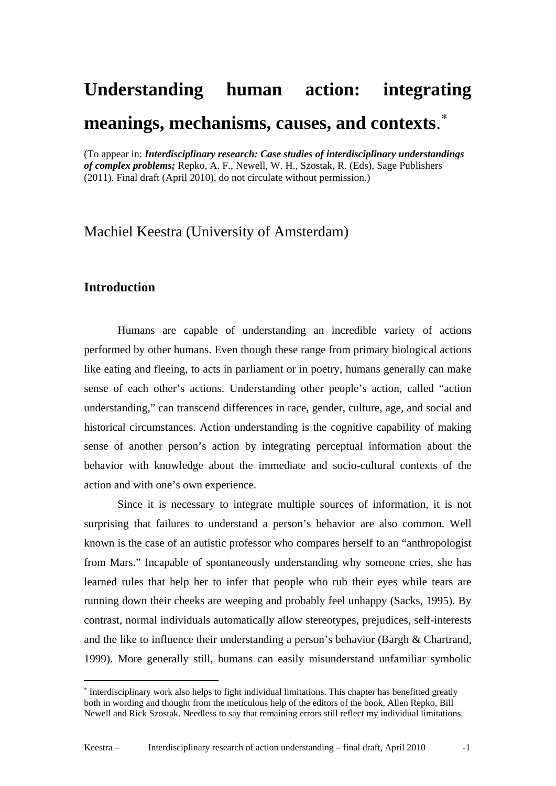# **Understanding human action: integrating meanings, mechanisms, causes, and contexts**.

(To appear in: *Interdisciplinary research: Case studies of interdisciplinary understandings of complex problems;* Repko, A. F., Newell, W. H., Szostak, R. (Eds), Sage Publishers (2011). Final draft (April 2010), do not circulate without permission.)

### Machiel Keestra (University of Amsterdam)

### **Introduction**

 Humans are capable of understanding an incredible variety of actions performed by other humans. Even though these range from primary biological actions like eating and fleeing, to acts in parliament or in poetry, humans generally can make sense of each other's actions. Understanding other people's action, called "action understanding," can transcend differences in race, gender, culture, age, and social and historical circumstances. Action understanding is the cognitive capability of making sense of another person's action by integrating perceptual information about the behavior with knowledge about the immediate and socio-cultural contexts of the action and with one's own experience.

 Since it is necessary to integrate multiple sources of information, it is not surprising that failures to understand a person's behavior are also common. Well known is the case of an autistic professor who compares herself to an "anthropologist from Mars." Incapable of spontaneously understanding why someone cries, she has learned rules that help her to infer that people who rub their eyes while tears are running down their cheeks are weeping and probably feel unhappy (Sacks, 1995). By contrast, normal individuals automatically allow stereotypes, prejudices, self-interests and the like to influence their understanding a person's behavior (Bargh & Chartrand, 1999). More generally still, humans can easily misunderstand unfamiliar symbolic

<span id="page-0-0"></span><sup>\*</sup> Interdisciplinary work also helps to fight individual limitations. This chapter has benefitted greatly both in wording and thought from the meticulous help of the editors of the book, Allen Repko, Bill Newell and Rick Szostak. Needless to say that remaining errors still reflect my individual limitations.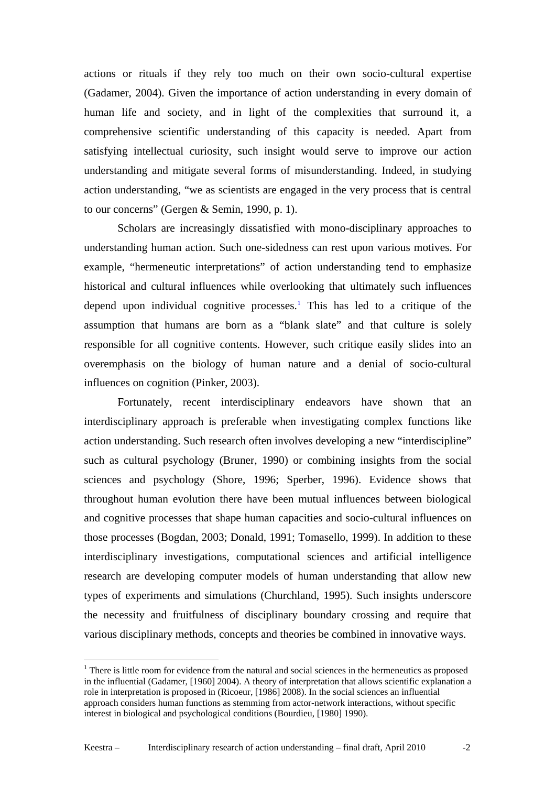actions or rituals if they rely too much on their own socio-cultural expertise (Gadamer, 2004). Given the importance of action understanding in every domain of human life and society, and in light of the complexities that surround it, a comprehensive scientific understanding of this capacity is needed. Apart from satisfying intellectual curiosity, such insight would serve to improve our action understanding and mitigate several forms of misunderstanding. Indeed, in studying action understanding, "we as scientists are engaged in the very process that is central to our concerns" (Gergen & Semin, 1990, p. 1).

 Scholars are increasingly dissatisfied with mono-disciplinary approaches to understanding human action. Such one-sidedness can rest upon various motives. For example, "hermeneutic interpretations" of action understanding tend to emphasize historical and cultural influences while overlooking that ultimately such influences depend upon individual cognitive processes.<sup>[1](#page-1-0)</sup> This has led to a critique of the assumption that humans are born as a "blank slate" and that culture is solely responsible for all cognitive contents. However, such critique easily slides into an overemphasis on the biology of human nature and a denial of socio-cultural influences on cognition (Pinker, 2003).

 Fortunately, recent interdisciplinary endeavors have shown that an interdisciplinary approach is preferable when investigating complex functions like action understanding. Such research often involves developing a new "interdiscipline" such as cultural psychology (Bruner, 1990) or combining insights from the social sciences and psychology (Shore, 1996; Sperber, 1996). Evidence shows that throughout human evolution there have been mutual influences between biological and cognitive processes that shape human capacities and socio-cultural influences on those processes (Bogdan, 2003; Donald, 1991; Tomasello, 1999). In addition to these interdisciplinary investigations, computational sciences and artificial intelligence research are developing computer models of human understanding that allow new types of experiments and simulations (Churchland, 1995). Such insights underscore the necessity and fruitfulness of disciplinary boundary crossing and require that various disciplinary methods, concepts and theories be combined in innovative ways.

<span id="page-1-0"></span> $1$  There is little room for evidence from the natural and social sciences in the hermeneutics as proposed in the influential (Gadamer, [1960] 2004). A theory of interpretation that allows scientific explanation a role in interpretation is proposed in (Ricoeur, [1986] 2008). In the social sciences an influential approach considers human functions as stemming from actor-network interactions, without specific interest in biological and psychological conditions (Bourdieu, [1980] 1990).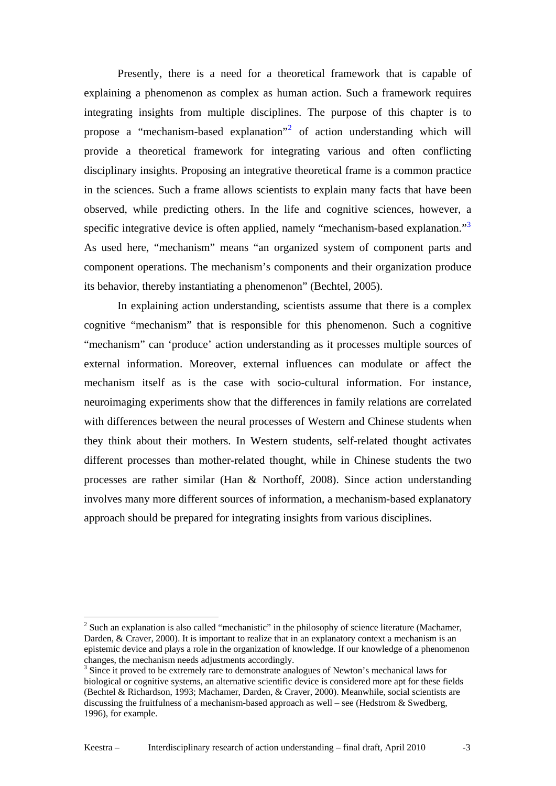Presently, there is a need for a theoretical framework that is capable of explaining a phenomenon as complex as human action. Such a framework requires integrating insights from multiple disciplines. The purpose of this chapter is to propose a "mechanism-based explanation"<sup>[2](#page-2-0)</sup> of action understanding which will provide a theoretical framework for integrating various and often conflicting disciplinary insights. Proposing an integrative theoretical frame is a common practice in the sciences. Such a frame allows scientists to explain many facts that have been observed, while predicting others. In the life and cognitive sciences, however, a specific integrative device is often applied, namely "mechanism-based explanation."<sup>[3](#page-2-1)</sup> As used here, "mechanism" means "an organized system of component parts and component operations. The mechanism's components and their organization produce its behavior, thereby instantiating a phenomenon" (Bechtel, 2005).

 In explaining action understanding, scientists assume that there is a complex cognitive "mechanism" that is responsible for this phenomenon. Such a cognitive "mechanism" can 'produce' action understanding as it processes multiple sources of external information. Moreover, external influences can modulate or affect the mechanism itself as is the case with socio-cultural information. For instance, neuroimaging experiments show that the differences in family relations are correlated with differences between the neural processes of Western and Chinese students when they think about their mothers. In Western students, self-related thought activates different processes than mother-related thought, while in Chinese students the two processes are rather similar (Han & Northoff, 2008). Since action understanding involves many more different sources of information, a mechanism-based explanatory approach should be prepared for integrating insights from various disciplines.

<span id="page-2-0"></span> $2^{2}$  Such an explanation is also called "mechanistic" in the philosophy of science literature (Machamer, Darden, & Craver, 2000). It is important to realize that in an explanatory context a mechanism is an epistemic device and plays a role in the organization of knowledge. If our knowledge of a phenomenon changes, the mechanism needs adjustments accordingly.

<span id="page-2-1"></span><sup>&</sup>lt;sup>3</sup> Since it proved to be extremely rare to demonstrate analogues of Newton's mechanical laws for biological or cognitive systems, an alternative scientific device is considered more apt for these fields (Bechtel & Richardson, 1993; Machamer, Darden, & Craver, 2000). Meanwhile, social scientists are discussing the fruitfulness of a mechanism-based approach as well – see (Hedstrom & Swedberg, 1996), for example.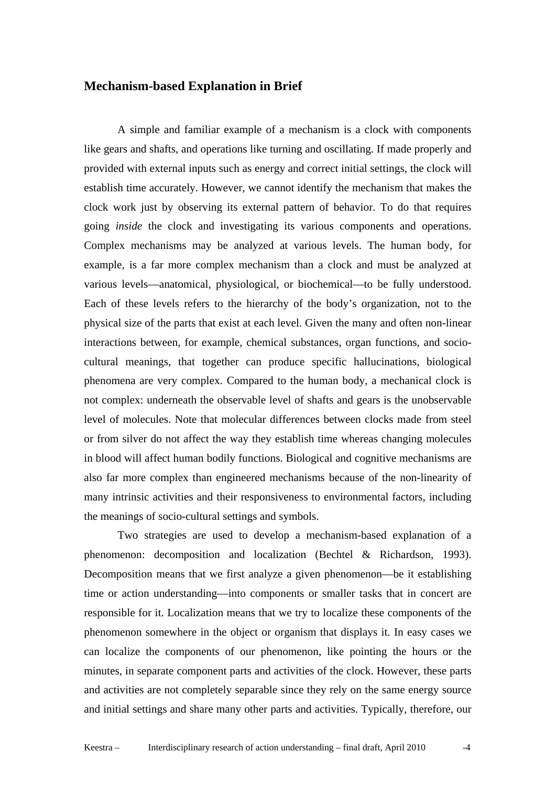#### **Mechanism-based Explanation in Brief**

 A simple and familiar example of a mechanism is a clock with components like gears and shafts, and operations like turning and oscillating. If made properly and provided with external inputs such as energy and correct initial settings, the clock will establish time accurately. However, we cannot identify the mechanism that makes the clock work just by observing its external pattern of behavior. To do that requires going *inside* the clock and investigating its various components and operations. Complex mechanisms may be analyzed at various levels. The human body, for example, is a far more complex mechanism than a clock and must be analyzed at various levels—anatomical, physiological, or biochemical—to be fully understood. Each of these levels refers to the hierarchy of the body's organization, not to the physical size of the parts that exist at each level. Given the many and often non-linear interactions between, for example, chemical substances, organ functions, and sociocultural meanings, that together can produce specific hallucinations, biological phenomena are very complex. Compared to the human body, a mechanical clock is not complex: underneath the observable level of shafts and gears is the unobservable level of molecules. Note that molecular differences between clocks made from steel or from silver do not affect the way they establish time whereas changing molecules in blood will affect human bodily functions. Biological and cognitive mechanisms are also far more complex than engineered mechanisms because of the non-linearity of many intrinsic activities and their responsiveness to environmental factors, including the meanings of socio-cultural settings and symbols.

 Two strategies are used to develop a mechanism-based explanation of a phenomenon: decomposition and localization (Bechtel & Richardson, 1993). Decomposition means that we first analyze a given phenomenon—be it establishing time or action understanding—into components or smaller tasks that in concert are responsible for it. Localization means that we try to localize these components of the phenomenon somewhere in the object or organism that displays it. In easy cases we can localize the components of our phenomenon, like pointing the hours or the minutes, in separate component parts and activities of the clock. However, these parts and activities are not completely separable since they rely on the same energy source and initial settings and share many other parts and activities. Typically, therefore, our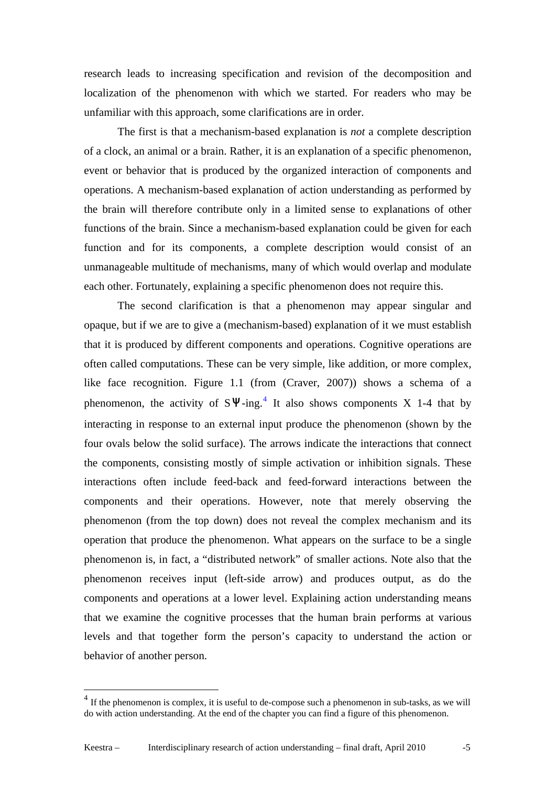research leads to increasing specification and revision of the decomposition and localization of the phenomenon with which we started. For readers who may be unfamiliar with this approach, some clarifications are in order.

 The first is that a mechanism-based explanation is *not* a complete description of a clock, an animal or a brain. Rather, it is an explanation of a specific phenomenon, event or behavior that is produced by the organized interaction of components and operations. A mechanism-based explanation of action understanding as performed by the brain will therefore contribute only in a limited sense to explanations of other functions of the brain. Since a mechanism-based explanation could be given for each function and for its components, a complete description would consist of an unmanageable multitude of mechanisms, many of which would overlap and modulate each other. Fortunately, explaining a specific phenomenon does not require this.

 The second clarification is that a phenomenon may appear singular and opaque, but if we are to give a (mechanism-based) explanation of it we must establish that it is produced by different components and operations. Cognitive operations are often called computations. These can be very simple, like addition, or more complex, like face recognition. Figure 1.1 (from (Craver, 2007)) shows a schema of a phenomenon, the activity of  $S\Psi$ -ing.<sup>[4](#page-4-0)</sup> It also shows components X 1-4 that by interacting in response to an external input produce the phenomenon (shown by the four ovals below the solid surface). The arrows indicate the interactions that connect the components, consisting mostly of simple activation or inhibition signals. These interactions often include feed-back and feed-forward interactions between the components and their operations. However, note that merely observing the phenomenon (from the top down) does not reveal the complex mechanism and its operation that produce the phenomenon. What appears on the surface to be a single phenomenon is, in fact, a "distributed network" of smaller actions. Note also that the phenomenon receives input (left-side arrow) and produces output, as do the components and operations at a lower level. Explaining action understanding means that we examine the cognitive processes that the human brain performs at various levels and that together form the person's capacity to understand the action or behavior of another person.

<span id="page-4-0"></span> $4\text{ If the phenomenon is complex, it is useful to de-compose such a phenomenon in sub-tasks, as we will}$ do with action understanding. At the end of the chapter you can find a figure of this phenomenon.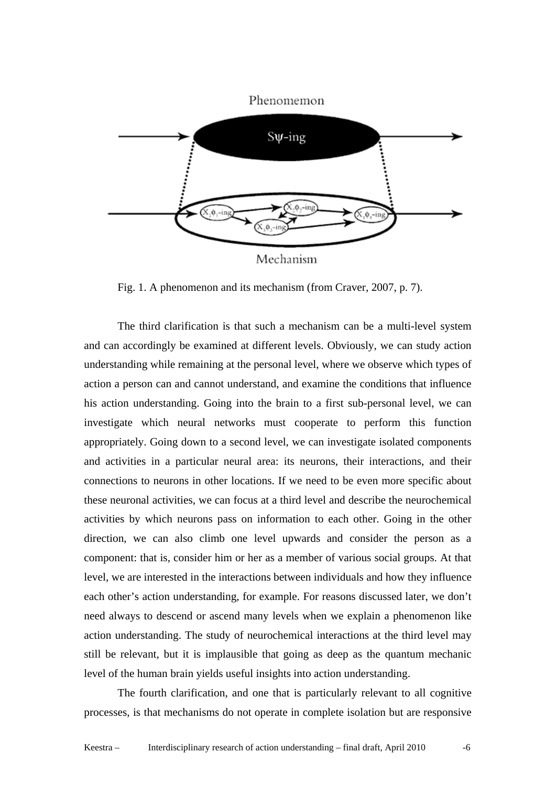

Fig. 1. A phenomenon and its mechanism (from Craver, 2007, p. 7).

 The third clarification is that such a mechanism can be a multi-level system and can accordingly be examined at different levels. Obviously, we can study action understanding while remaining at the personal level, where we observe which types of action a person can and cannot understand, and examine the conditions that influence his action understanding. Going into the brain to a first sub-personal level, we can investigate which neural networks must cooperate to perform this function appropriately. Going down to a second level, we can investigate isolated components and activities in a particular neural area: its neurons, their interactions, and their connections to neurons in other locations. If we need to be even more specific about these neuronal activities, we can focus at a third level and describe the neurochemical activities by which neurons pass on information to each other. Going in the other direction, we can also climb one level upwards and consider the person as a component: that is, consider him or her as a member of various social groups. At that level, we are interested in the interactions between individuals and how they influence each other's action understanding, for example. For reasons discussed later, we don't need always to descend or ascend many levels when we explain a phenomenon like action understanding. The study of neurochemical interactions at the third level may still be relevant, but it is implausible that going as deep as the quantum mechanic level of the human brain yields useful insights into action understanding.

 The fourth clarification, and one that is particularly relevant to all cognitive processes, is that mechanisms do not operate in complete isolation but are responsive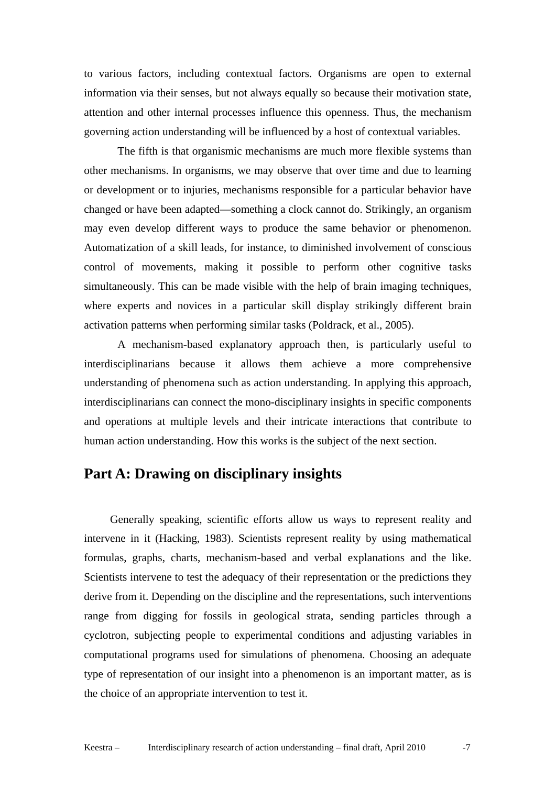to various factors, including contextual factors. Organisms are open to external information via their senses, but not always equally so because their motivation state, attention and other internal processes influence this openness. Thus, the mechanism governing action understanding will be influenced by a host of contextual variables.

 The fifth is that organismic mechanisms are much more flexible systems than other mechanisms. In organisms, we may observe that over time and due to learning or development or to injuries, mechanisms responsible for a particular behavior have changed or have been adapted—something a clock cannot do. Strikingly, an organism may even develop different ways to produce the same behavior or phenomenon. Automatization of a skill leads, for instance, to diminished involvement of conscious control of movements, making it possible to perform other cognitive tasks simultaneously. This can be made visible with the help of brain imaging techniques, where experts and novices in a particular skill display strikingly different brain activation patterns when performing similar tasks (Poldrack, et al., 2005).

 A mechanism-based explanatory approach then, is particularly useful to interdisciplinarians because it allows them achieve a more comprehensive understanding of phenomena such as action understanding. In applying this approach, interdisciplinarians can connect the mono-disciplinary insights in specific components and operations at multiple levels and their intricate interactions that contribute to human action understanding. How this works is the subject of the next section.

### **Part A: Drawing on disciplinary insights**

 Generally speaking, scientific efforts allow us ways to represent reality and intervene in it (Hacking, 1983). Scientists represent reality by using mathematical formulas, graphs, charts, mechanism-based and verbal explanations and the like. Scientists intervene to test the adequacy of their representation or the predictions they derive from it. Depending on the discipline and the representations, such interventions range from digging for fossils in geological strata, sending particles through a cyclotron, subjecting people to experimental conditions and adjusting variables in computational programs used for simulations of phenomena. Choosing an adequate type of representation of our insight into a phenomenon is an important matter, as is the choice of an appropriate intervention to test it.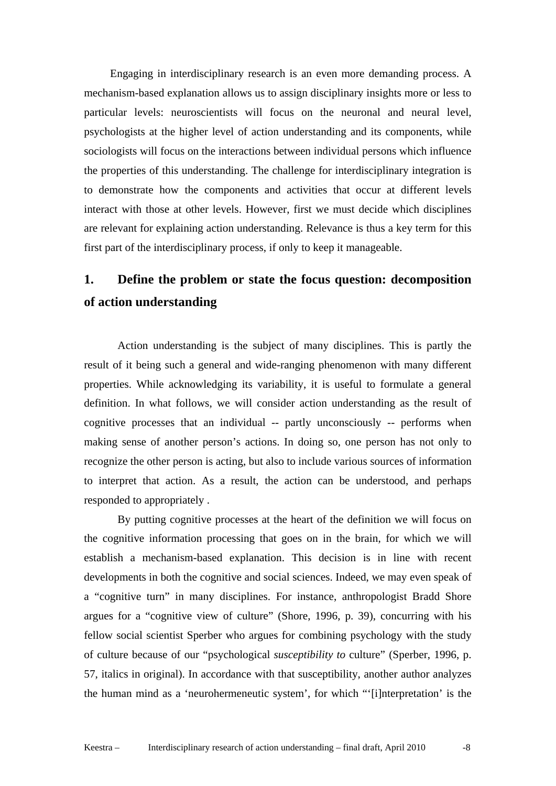Engaging in interdisciplinary research is an even more demanding process. A mechanism-based explanation allows us to assign disciplinary insights more or less to particular levels: neuroscientists will focus on the neuronal and neural level, psychologists at the higher level of action understanding and its components, while sociologists will focus on the interactions between individual persons which influence the properties of this understanding. The challenge for interdisciplinary integration is to demonstrate how the components and activities that occur at different levels interact with those at other levels. However, first we must decide which disciplines are relevant for explaining action understanding. Relevance is thus a key term for this first part of the interdisciplinary process, if only to keep it manageable.

### **1. Define the problem or state the focus question: decomposition of action understanding**

 Action understanding is the subject of many disciplines. This is partly the result of it being such a general and wide-ranging phenomenon with many different properties. While acknowledging its variability, it is useful to formulate a general definition. In what follows, we will consider action understanding as the result of cognitive processes that an individual -- partly unconsciously -- performs when making sense of another person's actions. In doing so, one person has not only to recognize the other person is acting, but also to include various sources of information to interpret that action. As a result, the action can be understood, and perhaps responded to appropriately .

 By putting cognitive processes at the heart of the definition we will focus on the cognitive information processing that goes on in the brain, for which we will establish a mechanism-based explanation. This decision is in line with recent developments in both the cognitive and social sciences. Indeed, we may even speak of a "cognitive turn" in many disciplines. For instance, anthropologist Bradd Shore argues for a "cognitive view of culture" (Shore, 1996, p. 39), concurring with his fellow social scientist Sperber who argues for combining psychology with the study of culture because of our "psychological *susceptibility to* culture" (Sperber, 1996, p. 57, italics in original). In accordance with that susceptibility, another author analyzes the human mind as a 'neurohermeneutic system', for which "'[i]nterpretation' is the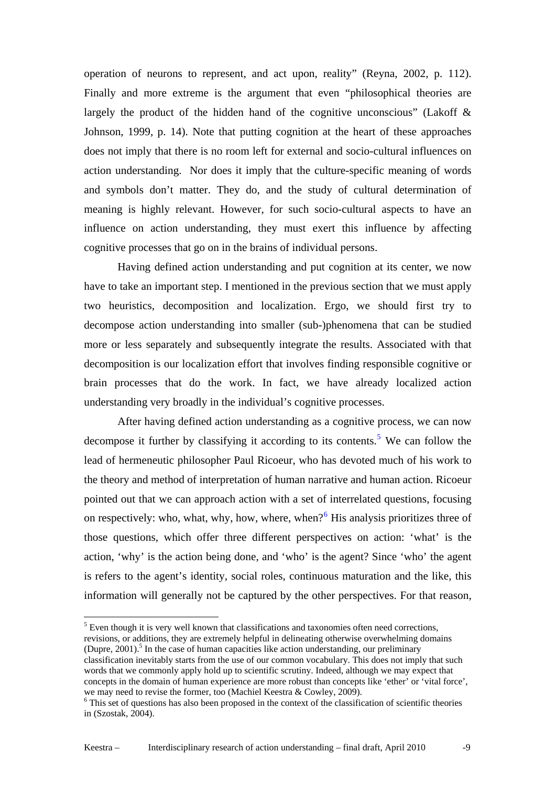operation of neurons to represent, and act upon, reality" (Reyna, 2002, p. 112). Finally and more extreme is the argument that even "philosophical theories are largely the product of the hidden hand of the cognitive unconscious" (Lakoff  $\&$ Johnson, 1999, p. 14). Note that putting cognition at the heart of these approaches does not imply that there is no room left for external and socio-cultural influences on action understanding. Nor does it imply that the culture-specific meaning of words and symbols don't matter. They do, and the study of cultural determination of meaning is highly relevant. However, for such socio-cultural aspects to have an influence on action understanding, they must exert this influence by affecting cognitive processes that go on in the brains of individual persons.

 Having defined action understanding and put cognition at its center, we now have to take an important step. I mentioned in the previous section that we must apply two heuristics, decomposition and localization. Ergo, we should first try to decompose action understanding into smaller (sub-)phenomena that can be studied more or less separately and subsequently integrate the results. Associated with that decomposition is our localization effort that involves finding responsible cognitive or brain processes that do the work. In fact, we have already localized action understanding very broadly in the individual's cognitive processes.

 After having defined action understanding as a cognitive process, we can now decompose it further by classifying it according to its contents.<sup>[5](#page-8-0)</sup> We can follow the lead of hermeneutic philosopher Paul Ricoeur, who has devoted much of his work to the theory and method of interpretation of human narrative and human action. Ricoeur pointed out that we can approach action with a set of interrelated questions, focusing on respectively: who, what, why, how, where, when?<sup>[6](#page-8-1)</sup> His analysis prioritizes three of those questions, which offer three different perspectives on action: 'what' is the action, 'why' is the action being done, and 'who' is the agent? Since 'who' the agent is refers to the agent's identity, social roles, continuous maturation and the like, this information will generally not be captured by the other perspectives. For that reason,

<span id="page-8-0"></span> $<sup>5</sup>$  Even though it is very well known that classifications and taxonomies often need corrections,</sup> revisions, or additions, they are extremely helpful in delineating otherwise overwhelming domains (Dupre, 2001).<sup>5</sup> In the case of human capacities like action understanding, our preliminary classification inevitably starts from the use of our common vocabulary. This does not imply that such words that we commonly apply hold up to scientific scrutiny. Indeed, although we may expect that concepts in the domain of human experience are more robust than concepts like 'ether' or 'vital force', we may need to revise the former, too (Machiel Keestra & Cowley, 2009).

<span id="page-8-1"></span><sup>&</sup>lt;sup>6</sup> This set of questions has also been proposed in the context of the classification of scientific theories in (Szostak, 2004).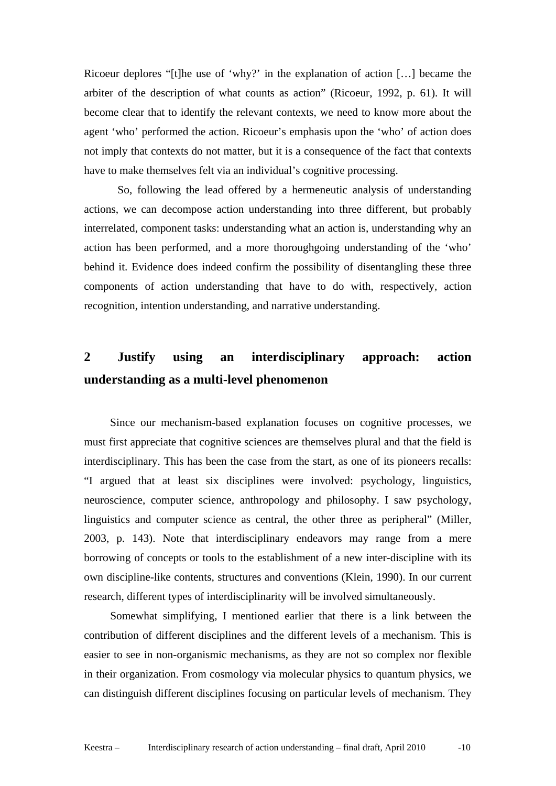Ricoeur deplores "[t]he use of 'why?' in the explanation of action […] became the arbiter of the description of what counts as action" (Ricoeur, 1992, p. 61). It will become clear that to identify the relevant contexts, we need to know more about the agent 'who' performed the action. Ricoeur's emphasis upon the 'who' of action does not imply that contexts do not matter, but it is a consequence of the fact that contexts have to make themselves felt via an individual's cognitive processing.

 So, following the lead offered by a hermeneutic analysis of understanding actions, we can decompose action understanding into three different, but probably interrelated, component tasks: understanding what an action is, understanding why an action has been performed, and a more thoroughgoing understanding of the 'who' behind it. Evidence does indeed confirm the possibility of disentangling these three components of action understanding that have to do with, respectively, action recognition, intention understanding, and narrative understanding.

### **2 Justify using an interdisciplinary approach: action understanding as a multi-level phenomenon**

 Since our mechanism-based explanation focuses on cognitive processes, we must first appreciate that cognitive sciences are themselves plural and that the field is interdisciplinary. This has been the case from the start, as one of its pioneers recalls: "I argued that at least six disciplines were involved: psychology, linguistics, neuroscience, computer science, anthropology and philosophy. I saw psychology, linguistics and computer science as central, the other three as peripheral" (Miller, 2003, p. 143). Note that interdisciplinary endeavors may range from a mere borrowing of concepts or tools to the establishment of a new inter-discipline with its own discipline-like contents, structures and conventions (Klein, 1990). In our current research, different types of interdisciplinarity will be involved simultaneously.

 Somewhat simplifying, I mentioned earlier that there is a link between the contribution of different disciplines and the different levels of a mechanism. This is easier to see in non-organismic mechanisms, as they are not so complex nor flexible in their organization. From cosmology via molecular physics to quantum physics, we can distinguish different disciplines focusing on particular levels of mechanism. They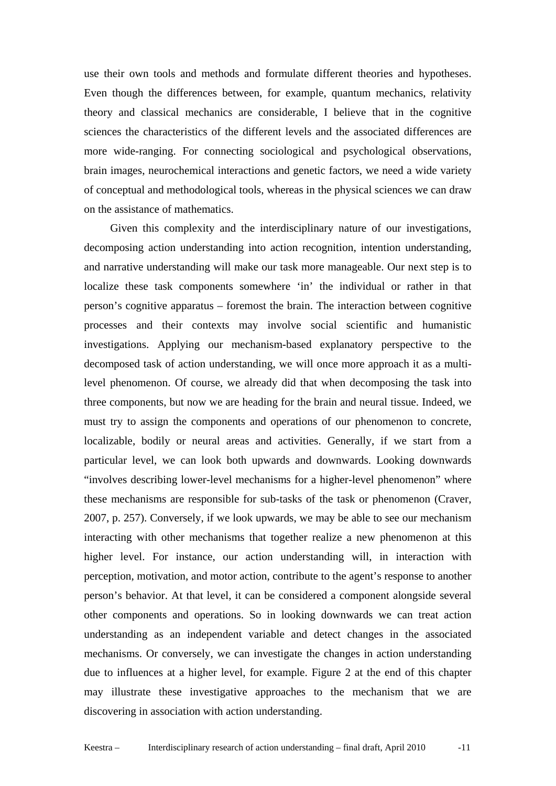use their own tools and methods and formulate different theories and hypotheses. Even though the differences between, for example, quantum mechanics, relativity theory and classical mechanics are considerable, I believe that in the cognitive sciences the characteristics of the different levels and the associated differences are more wide-ranging. For connecting sociological and psychological observations, brain images, neurochemical interactions and genetic factors, we need a wide variety of conceptual and methodological tools, whereas in the physical sciences we can draw on the assistance of mathematics.

 Given this complexity and the interdisciplinary nature of our investigations, decomposing action understanding into action recognition, intention understanding, and narrative understanding will make our task more manageable. Our next step is to localize these task components somewhere 'in' the individual or rather in that person's cognitive apparatus – foremost the brain. The interaction between cognitive processes and their contexts may involve social scientific and humanistic investigations. Applying our mechanism-based explanatory perspective to the decomposed task of action understanding, we will once more approach it as a multilevel phenomenon. Of course, we already did that when decomposing the task into three components, but now we are heading for the brain and neural tissue. Indeed, we must try to assign the components and operations of our phenomenon to concrete, localizable, bodily or neural areas and activities. Generally, if we start from a particular level, we can look both upwards and downwards. Looking downwards "involves describing lower-level mechanisms for a higher-level phenomenon" where these mechanisms are responsible for sub-tasks of the task or phenomenon (Craver, 2007, p. 257). Conversely, if we look upwards, we may be able to see our mechanism interacting with other mechanisms that together realize a new phenomenon at this higher level. For instance, our action understanding will, in interaction with perception, motivation, and motor action, contribute to the agent's response to another person's behavior. At that level, it can be considered a component alongside several other components and operations. So in looking downwards we can treat action understanding as an independent variable and detect changes in the associated mechanisms. Or conversely, we can investigate the changes in action understanding due to influences at a higher level, for example. Figure 2 at the end of this chapter may illustrate these investigative approaches to the mechanism that we are discovering in association with action understanding.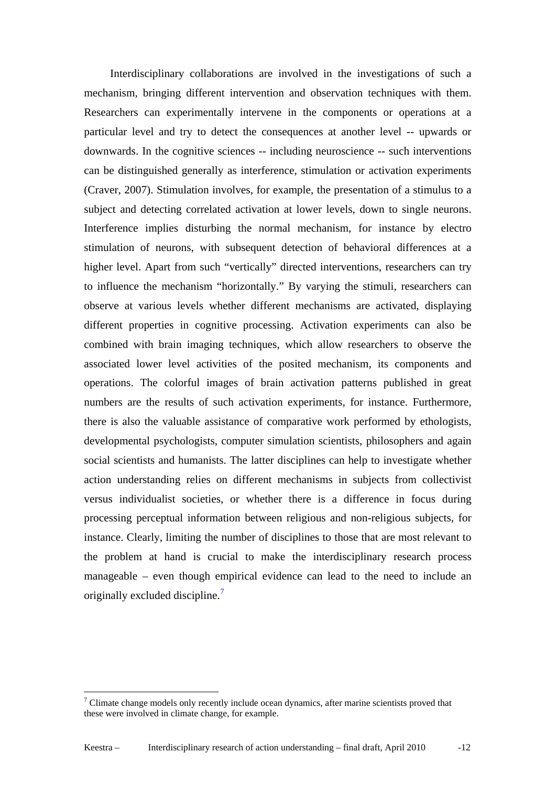Interdisciplinary collaborations are involved in the investigations of such a mechanism, bringing different intervention and observation techniques with them. Researchers can experimentally intervene in the components or operations at a particular level and try to detect the consequences at another level -- upwards or downwards. In the cognitive sciences -- including neuroscience -- such interventions can be distinguished generally as interference, stimulation or activation experiments (Craver, 2007). Stimulation involves, for example, the presentation of a stimulus to a subject and detecting correlated activation at lower levels, down to single neurons. Interference implies disturbing the normal mechanism, for instance by electro stimulation of neurons, with subsequent detection of behavioral differences at a higher level. Apart from such "vertically" directed interventions, researchers can try to influence the mechanism "horizontally." By varying the stimuli, researchers can observe at various levels whether different mechanisms are activated, displaying different properties in cognitive processing. Activation experiments can also be combined with brain imaging techniques, which allow researchers to observe the associated lower level activities of the posited mechanism, its components and operations. The colorful images of brain activation patterns published in great numbers are the results of such activation experiments, for instance. Furthermore, there is also the valuable assistance of comparative work performed by ethologists, developmental psychologists, computer simulation scientists, philosophers and again social scientists and humanists. The latter disciplines can help to investigate whether action understanding relies on different mechanisms in subjects from collectivist versus individualist societies, or whether there is a difference in focus during processing perceptual information between religious and non-religious subjects, for instance. Clearly, limiting the number of disciplines to those that are most relevant to the problem at hand is crucial to make the interdisciplinary research process manageable – even though empirical evidence can lead to the need to include an originally excluded discipline.[7](#page-11-0)

<span id="page-11-0"></span> $\sigma$ <sup>7</sup> Climate change models only recently include ocean dynamics, after marine scientists proved that these were involved in climate change, for example.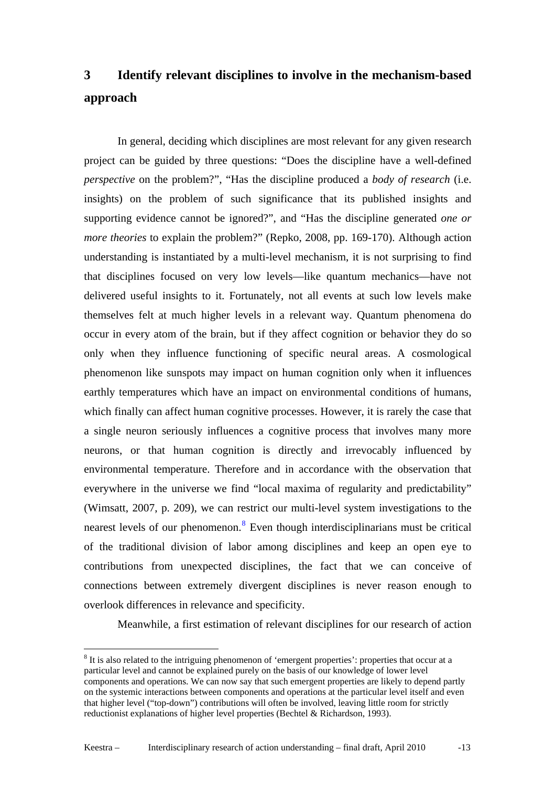## **3 Identify relevant disciplines to involve in the mechanism-based approach**

 In general, deciding which disciplines are most relevant for any given research project can be guided by three questions: "Does the discipline have a well-defined *perspective* on the problem?", "Has the discipline produced a *body of research* (i.e. insights) on the problem of such significance that its published insights and supporting evidence cannot be ignored?", and "Has the discipline generated *one or more theories* to explain the problem?" (Repko, 2008, pp. 169-170). Although action understanding is instantiated by a multi-level mechanism, it is not surprising to find that disciplines focused on very low levels—like quantum mechanics—have not delivered useful insights to it. Fortunately, not all events at such low levels make themselves felt at much higher levels in a relevant way. Quantum phenomena do occur in every atom of the brain, but if they affect cognition or behavior they do so only when they influence functioning of specific neural areas. A cosmological phenomenon like sunspots may impact on human cognition only when it influences earthly temperatures which have an impact on environmental conditions of humans, which finally can affect human cognitive processes. However, it is rarely the case that a single neuron seriously influences a cognitive process that involves many more neurons, or that human cognition is directly and irrevocably influenced by environmental temperature. Therefore and in accordance with the observation that everywhere in the universe we find "local maxima of regularity and predictability" (Wimsatt, 2007, p. 209), we can restrict our multi-level system investigations to the nearest levels of our phenomenon.<sup>[8](#page-12-0)</sup> Even though interdisciplinarians must be critical of the traditional division of labor among disciplines and keep an open eye to contributions from unexpected disciplines, the fact that we can conceive of connections between extremely divergent disciplines is never reason enough to overlook differences in relevance and specificity.

Meanwhile, a first estimation of relevant disciplines for our research of action

<span id="page-12-0"></span><sup>&</sup>lt;sup>8</sup> It is also related to the intriguing phenomenon of 'emergent properties': properties that occur at a particular level and cannot be explained purely on the basis of our knowledge of lower level components and operations. We can now say that such emergent properties are likely to depend partly on the systemic interactions between components and operations at the particular level itself and even that higher level ("top-down") contributions will often be involved, leaving little room for strictly reductionist explanations of higher level properties (Bechtel & Richardson, 1993).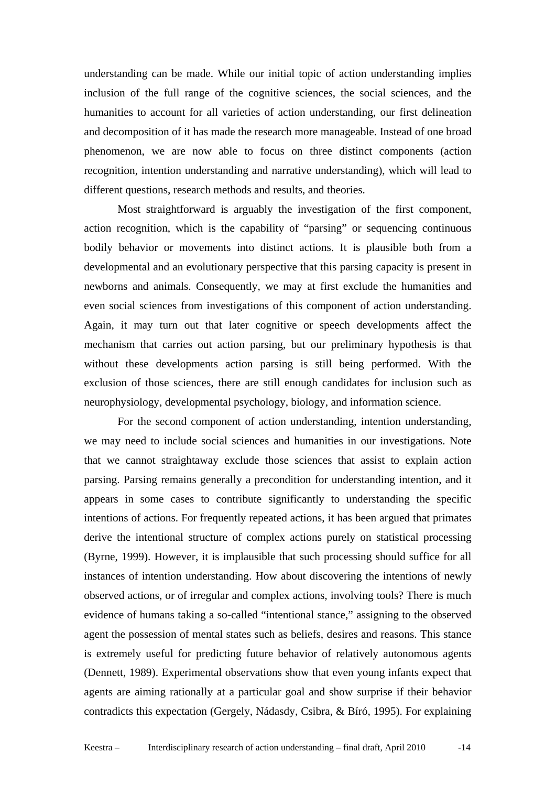understanding can be made. While our initial topic of action understanding implies inclusion of the full range of the cognitive sciences, the social sciences, and the humanities to account for all varieties of action understanding, our first delineation and decomposition of it has made the research more manageable. Instead of one broad phenomenon, we are now able to focus on three distinct components (action recognition, intention understanding and narrative understanding), which will lead to different questions, research methods and results, and theories.

 Most straightforward is arguably the investigation of the first component, action recognition, which is the capability of "parsing" or sequencing continuous bodily behavior or movements into distinct actions. It is plausible both from a developmental and an evolutionary perspective that this parsing capacity is present in newborns and animals. Consequently, we may at first exclude the humanities and even social sciences from investigations of this component of action understanding. Again, it may turn out that later cognitive or speech developments affect the mechanism that carries out action parsing, but our preliminary hypothesis is that without these developments action parsing is still being performed. With the exclusion of those sciences, there are still enough candidates for inclusion such as neurophysiology, developmental psychology, biology, and information science.

 For the second component of action understanding, intention understanding, we may need to include social sciences and humanities in our investigations. Note that we cannot straightaway exclude those sciences that assist to explain action parsing. Parsing remains generally a precondition for understanding intention, and it appears in some cases to contribute significantly to understanding the specific intentions of actions. For frequently repeated actions, it has been argued that primates derive the intentional structure of complex actions purely on statistical processing (Byrne, 1999). However, it is implausible that such processing should suffice for all instances of intention understanding. How about discovering the intentions of newly observed actions, or of irregular and complex actions, involving tools? There is much evidence of humans taking a so-called "intentional stance," assigning to the observed agent the possession of mental states such as beliefs, desires and reasons. This stance is extremely useful for predicting future behavior of relatively autonomous agents (Dennett, 1989). Experimental observations show that even young infants expect that agents are aiming rationally at a particular goal and show surprise if their behavior contradicts this expectation (Gergely, Nádasdy, Csibra, & Bíró, 1995). For explaining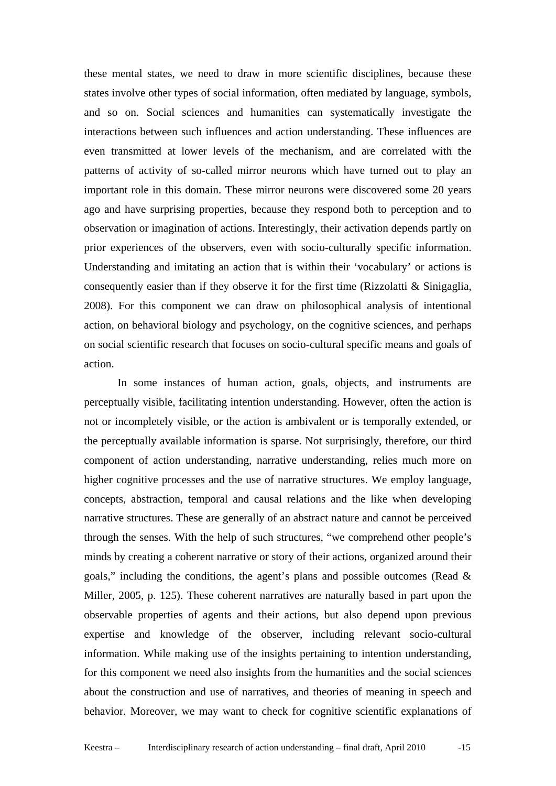these mental states, we need to draw in more scientific disciplines, because these states involve other types of social information, often mediated by language, symbols, and so on. Social sciences and humanities can systematically investigate the interactions between such influences and action understanding. These influences are even transmitted at lower levels of the mechanism, and are correlated with the patterns of activity of so-called mirror neurons which have turned out to play an important role in this domain. These mirror neurons were discovered some 20 years ago and have surprising properties, because they respond both to perception and to observation or imagination of actions. Interestingly, their activation depends partly on prior experiences of the observers, even with socio-culturally specific information. Understanding and imitating an action that is within their 'vocabulary' or actions is consequently easier than if they observe it for the first time (Rizzolatti & Sinigaglia, 2008). For this component we can draw on philosophical analysis of intentional action, on behavioral biology and psychology, on the cognitive sciences, and perhaps on social scientific research that focuses on socio-cultural specific means and goals of action.

 In some instances of human action, goals, objects, and instruments are perceptually visible, facilitating intention understanding. However, often the action is not or incompletely visible, or the action is ambivalent or is temporally extended, or the perceptually available information is sparse. Not surprisingly, therefore, our third component of action understanding, narrative understanding, relies much more on higher cognitive processes and the use of narrative structures. We employ language, concepts, abstraction, temporal and causal relations and the like when developing narrative structures. These are generally of an abstract nature and cannot be perceived through the senses. With the help of such structures, "we comprehend other people's minds by creating a coherent narrative or story of their actions, organized around their goals," including the conditions, the agent's plans and possible outcomes (Read  $\&$ Miller, 2005, p. 125). These coherent narratives are naturally based in part upon the observable properties of agents and their actions, but also depend upon previous expertise and knowledge of the observer, including relevant socio-cultural information. While making use of the insights pertaining to intention understanding, for this component we need also insights from the humanities and the social sciences about the construction and use of narratives, and theories of meaning in speech and behavior. Moreover, we may want to check for cognitive scientific explanations of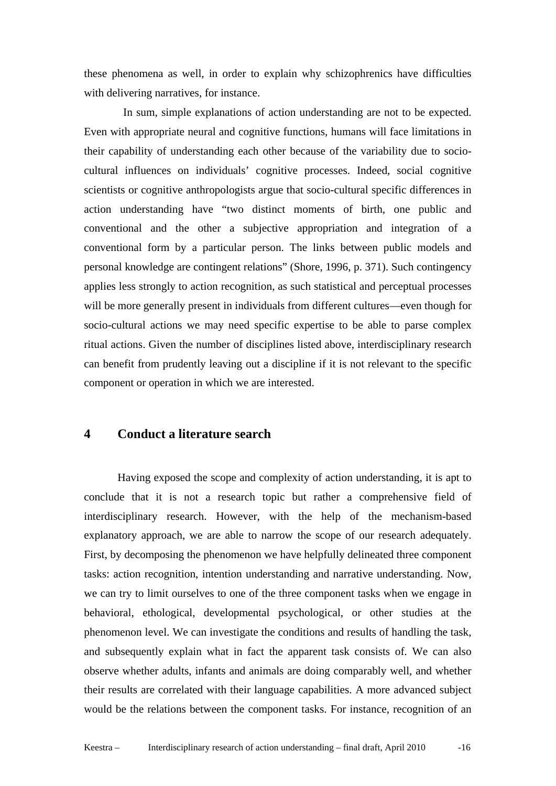these phenomena as well, in order to explain why schizophrenics have difficulties with delivering narratives, for instance.

 In sum, simple explanations of action understanding are not to be expected. Even with appropriate neural and cognitive functions, humans will face limitations in their capability of understanding each other because of the variability due to sociocultural influences on individuals' cognitive processes. Indeed, social cognitive scientists or cognitive anthropologists argue that socio-cultural specific differences in action understanding have "two distinct moments of birth, one public and conventional and the other a subjective appropriation and integration of a conventional form by a particular person. The links between public models and personal knowledge are contingent relations" (Shore, 1996, p. 371). Such contingency applies less strongly to action recognition, as such statistical and perceptual processes will be more generally present in individuals from different cultures—even though for socio-cultural actions we may need specific expertise to be able to parse complex ritual actions. Given the number of disciplines listed above, interdisciplinary research can benefit from prudently leaving out a discipline if it is not relevant to the specific component or operation in which we are interested.

### **4 Conduct a literature search**

 Having exposed the scope and complexity of action understanding, it is apt to conclude that it is not a research topic but rather a comprehensive field of interdisciplinary research. However, with the help of the mechanism-based explanatory approach, we are able to narrow the scope of our research adequately. First, by decomposing the phenomenon we have helpfully delineated three component tasks: action recognition, intention understanding and narrative understanding. Now, we can try to limit ourselves to one of the three component tasks when we engage in behavioral, ethological, developmental psychological, or other studies at the phenomenon level. We can investigate the conditions and results of handling the task, and subsequently explain what in fact the apparent task consists of. We can also observe whether adults, infants and animals are doing comparably well, and whether their results are correlated with their language capabilities. A more advanced subject would be the relations between the component tasks. For instance, recognition of an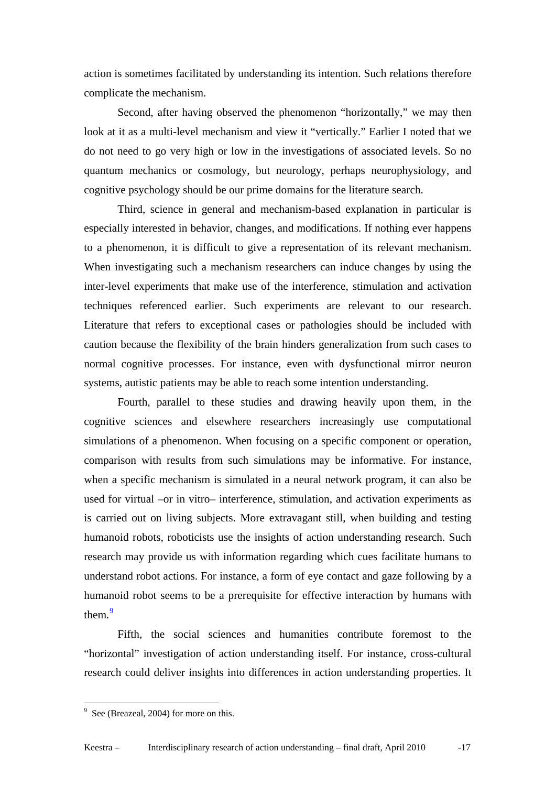action is sometimes facilitated by understanding its intention. Such relations therefore complicate the mechanism.

 Second, after having observed the phenomenon "horizontally," we may then look at it as a multi-level mechanism and view it "vertically." Earlier I noted that we do not need to go very high or low in the investigations of associated levels. So no quantum mechanics or cosmology, but neurology, perhaps neurophysiology, and cognitive psychology should be our prime domains for the literature search.

 Third, science in general and mechanism-based explanation in particular is especially interested in behavior, changes, and modifications. If nothing ever happens to a phenomenon, it is difficult to give a representation of its relevant mechanism. When investigating such a mechanism researchers can induce changes by using the inter-level experiments that make use of the interference, stimulation and activation techniques referenced earlier. Such experiments are relevant to our research. Literature that refers to exceptional cases or pathologies should be included with caution because the flexibility of the brain hinders generalization from such cases to normal cognitive processes. For instance, even with dysfunctional mirror neuron systems, autistic patients may be able to reach some intention understanding.

 Fourth, parallel to these studies and drawing heavily upon them, in the cognitive sciences and elsewhere researchers increasingly use computational simulations of a phenomenon. When focusing on a specific component or operation, comparison with results from such simulations may be informative. For instance, when a specific mechanism is simulated in a neural network program, it can also be used for virtual –or in vitro– interference, stimulation, and activation experiments as is carried out on living subjects. More extravagant still, when building and testing humanoid robots, roboticists use the insights of action understanding research. Such research may provide us with information regarding which cues facilitate humans to understand robot actions. For instance, a form of eye contact and gaze following by a humanoid robot seems to be a prerequisite for effective interaction by humans with them.[9](#page-16-0)

 Fifth, the social sciences and humanities contribute foremost to the "horizontal" investigation of action understanding itself. For instance, cross-cultural research could deliver insights into differences in action understanding properties. It

<span id="page-16-0"></span><sup>&</sup>lt;sup>9</sup> See (Breazeal, 2004) for more on this.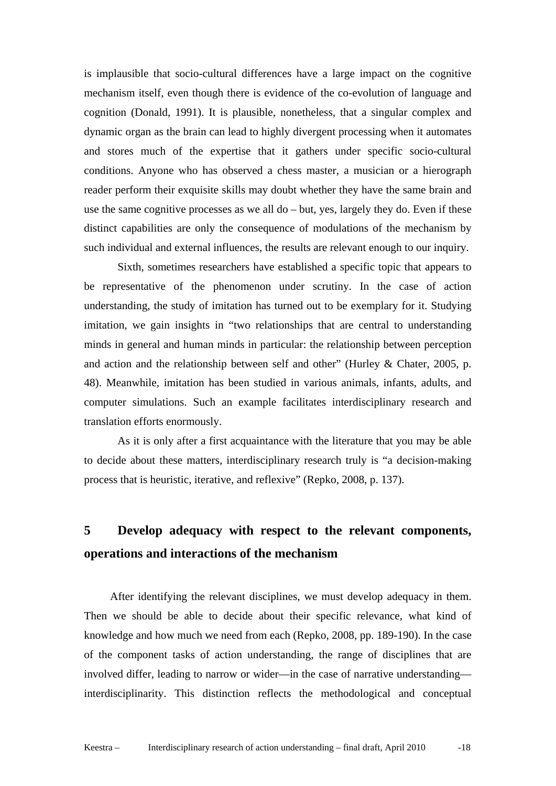is implausible that socio-cultural differences have a large impact on the cognitive mechanism itself, even though there is evidence of the co-evolution of language and cognition (Donald, 1991). It is plausible, nonetheless, that a singular complex and dynamic organ as the brain can lead to highly divergent processing when it automates and stores much of the expertise that it gathers under specific socio-cultural conditions. Anyone who has observed a chess master, a musician or a hierograph reader perform their exquisite skills may doubt whether they have the same brain and use the same cognitive processes as we all  $do - but$ , yes, largely they  $do$ . Even if these distinct capabilities are only the consequence of modulations of the mechanism by such individual and external influences, the results are relevant enough to our inquiry.

 Sixth, sometimes researchers have established a specific topic that appears to be representative of the phenomenon under scrutiny. In the case of action understanding, the study of imitation has turned out to be exemplary for it. Studying imitation, we gain insights in "two relationships that are central to understanding minds in general and human minds in particular: the relationship between perception and action and the relationship between self and other" (Hurley & Chater, 2005, p. 48). Meanwhile, imitation has been studied in various animals, infants, adults, and computer simulations. Such an example facilitates interdisciplinary research and translation efforts enormously.

 As it is only after a first acquaintance with the literature that you may be able to decide about these matters, interdisciplinary research truly is "a decision-making process that is heuristic, iterative, and reflexive" (Repko, 2008, p. 137).

### **5 Develop adequacy with respect to the relevant components, operations and interactions of the mechanism**

 After identifying the relevant disciplines, we must develop adequacy in them. Then we should be able to decide about their specific relevance, what kind of knowledge and how much we need from each (Repko, 2008, pp. 189-190). In the case of the component tasks of action understanding, the range of disciplines that are involved differ, leading to narrow or wider—in the case of narrative understanding interdisciplinarity. This distinction reflects the methodological and conceptual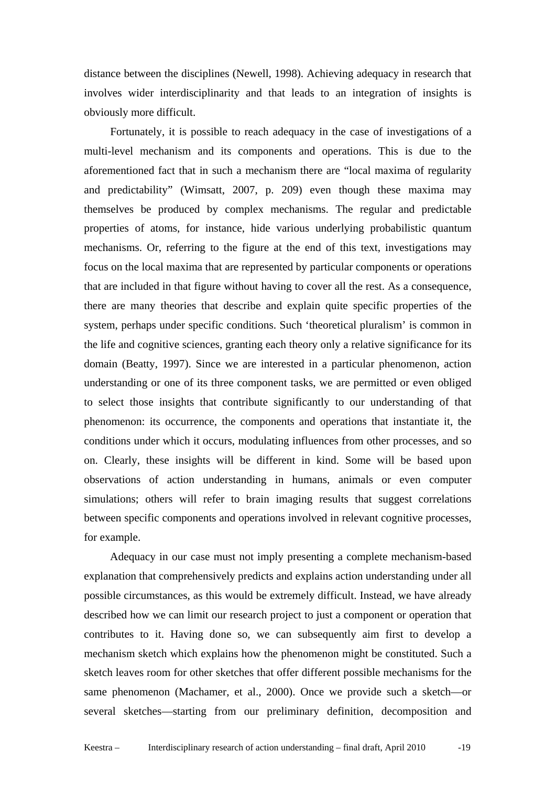distance between the disciplines (Newell, 1998). Achieving adequacy in research that involves wider interdisciplinarity and that leads to an integration of insights is obviously more difficult.

 Fortunately, it is possible to reach adequacy in the case of investigations of a multi-level mechanism and its components and operations. This is due to the aforementioned fact that in such a mechanism there are "local maxima of regularity and predictability" (Wimsatt, 2007, p. 209) even though these maxima may themselves be produced by complex mechanisms. The regular and predictable properties of atoms, for instance, hide various underlying probabilistic quantum mechanisms. Or, referring to the figure at the end of this text, investigations may focus on the local maxima that are represented by particular components or operations that are included in that figure without having to cover all the rest. As a consequence, there are many theories that describe and explain quite specific properties of the system, perhaps under specific conditions. Such 'theoretical pluralism' is common in the life and cognitive sciences, granting each theory only a relative significance for its domain (Beatty, 1997). Since we are interested in a particular phenomenon, action understanding or one of its three component tasks, we are permitted or even obliged to select those insights that contribute significantly to our understanding of that phenomenon: its occurrence, the components and operations that instantiate it, the conditions under which it occurs, modulating influences from other processes, and so on. Clearly, these insights will be different in kind. Some will be based upon observations of action understanding in humans, animals or even computer simulations; others will refer to brain imaging results that suggest correlations between specific components and operations involved in relevant cognitive processes, for example.

 Adequacy in our case must not imply presenting a complete mechanism-based explanation that comprehensively predicts and explains action understanding under all possible circumstances, as this would be extremely difficult. Instead, we have already described how we can limit our research project to just a component or operation that contributes to it. Having done so, we can subsequently aim first to develop a mechanism sketch which explains how the phenomenon might be constituted. Such a sketch leaves room for other sketches that offer different possible mechanisms for the same phenomenon (Machamer, et al., 2000). Once we provide such a sketch—or several sketches—starting from our preliminary definition, decomposition and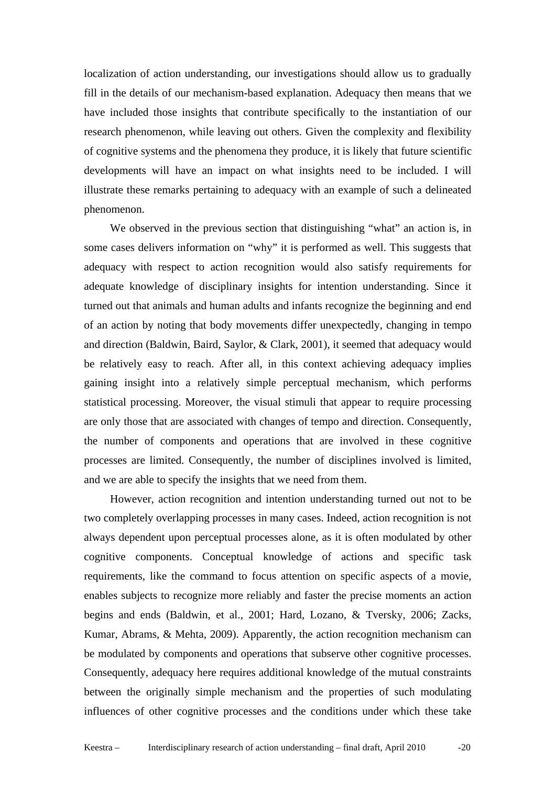localization of action understanding, our investigations should allow us to gradually fill in the details of our mechanism-based explanation. Adequacy then means that we have included those insights that contribute specifically to the instantiation of our research phenomenon, while leaving out others. Given the complexity and flexibility of cognitive systems and the phenomena they produce, it is likely that future scientific developments will have an impact on what insights need to be included. I will illustrate these remarks pertaining to adequacy with an example of such a delineated phenomenon.

 We observed in the previous section that distinguishing "what" an action is, in some cases delivers information on "why" it is performed as well. This suggests that adequacy with respect to action recognition would also satisfy requirements for adequate knowledge of disciplinary insights for intention understanding. Since it turned out that animals and human adults and infants recognize the beginning and end of an action by noting that body movements differ unexpectedly, changing in tempo and direction (Baldwin, Baird, Saylor, & Clark, 2001), it seemed that adequacy would be relatively easy to reach. After all, in this context achieving adequacy implies gaining insight into a relatively simple perceptual mechanism, which performs statistical processing. Moreover, the visual stimuli that appear to require processing are only those that are associated with changes of tempo and direction. Consequently, the number of components and operations that are involved in these cognitive processes are limited. Consequently, the number of disciplines involved is limited, and we are able to specify the insights that we need from them.

 However, action recognition and intention understanding turned out not to be two completely overlapping processes in many cases. Indeed, action recognition is not always dependent upon perceptual processes alone, as it is often modulated by other cognitive components. Conceptual knowledge of actions and specific task requirements, like the command to focus attention on specific aspects of a movie, enables subjects to recognize more reliably and faster the precise moments an action begins and ends (Baldwin, et al., 2001; Hard, Lozano, & Tversky, 2006; Zacks, Kumar, Abrams, & Mehta, 2009). Apparently, the action recognition mechanism can be modulated by components and operations that subserve other cognitive processes. Consequently, adequacy here requires additional knowledge of the mutual constraints between the originally simple mechanism and the properties of such modulating influences of other cognitive processes and the conditions under which these take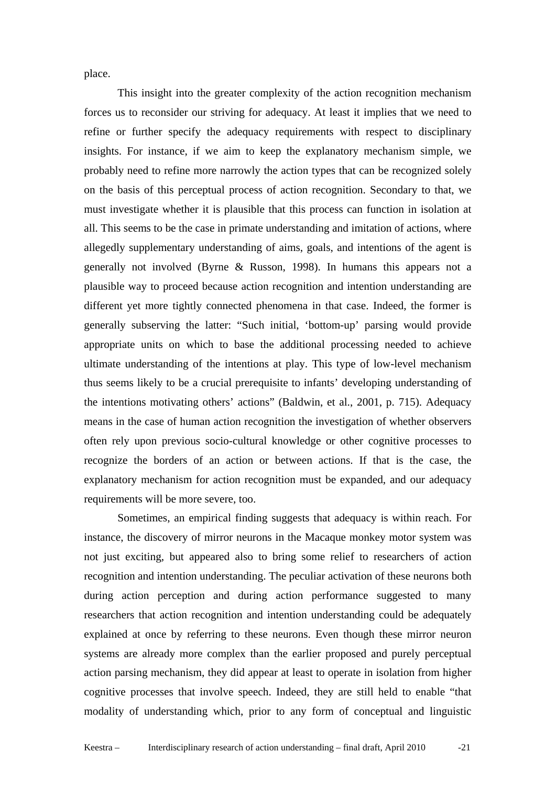place.

 This insight into the greater complexity of the action recognition mechanism forces us to reconsider our striving for adequacy. At least it implies that we need to refine or further specify the adequacy requirements with respect to disciplinary insights. For instance, if we aim to keep the explanatory mechanism simple, we probably need to refine more narrowly the action types that can be recognized solely on the basis of this perceptual process of action recognition. Secondary to that, we must investigate whether it is plausible that this process can function in isolation at all. This seems to be the case in primate understanding and imitation of actions, where allegedly supplementary understanding of aims, goals, and intentions of the agent is generally not involved (Byrne & Russon, 1998). In humans this appears not a plausible way to proceed because action recognition and intention understanding are different yet more tightly connected phenomena in that case. Indeed, the former is generally subserving the latter: "Such initial, 'bottom-up' parsing would provide appropriate units on which to base the additional processing needed to achieve ultimate understanding of the intentions at play. This type of low-level mechanism thus seems likely to be a crucial prerequisite to infants' developing understanding of the intentions motivating others' actions" (Baldwin, et al., 2001, p. 715). Adequacy means in the case of human action recognition the investigation of whether observers often rely upon previous socio-cultural knowledge or other cognitive processes to recognize the borders of an action or between actions. If that is the case, the explanatory mechanism for action recognition must be expanded, and our adequacy requirements will be more severe, too.

 Sometimes, an empirical finding suggests that adequacy is within reach. For instance, the discovery of mirror neurons in the Macaque monkey motor system was not just exciting, but appeared also to bring some relief to researchers of action recognition and intention understanding. The peculiar activation of these neurons both during action perception and during action performance suggested to many researchers that action recognition and intention understanding could be adequately explained at once by referring to these neurons. Even though these mirror neuron systems are already more complex than the earlier proposed and purely perceptual action parsing mechanism, they did appear at least to operate in isolation from higher cognitive processes that involve speech. Indeed, they are still held to enable "that modality of understanding which, prior to any form of conceptual and linguistic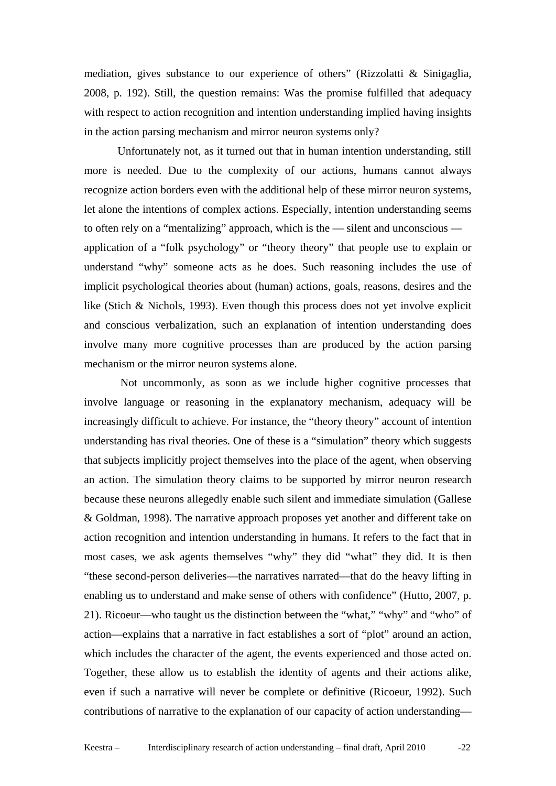mediation, gives substance to our experience of others" (Rizzolatti & Sinigaglia, 2008, p. 192). Still, the question remains: Was the promise fulfilled that adequacy with respect to action recognition and intention understanding implied having insights in the action parsing mechanism and mirror neuron systems only?

 Unfortunately not, as it turned out that in human intention understanding, still more is needed. Due to the complexity of our actions, humans cannot always recognize action borders even with the additional help of these mirror neuron systems, let alone the intentions of complex actions. Especially, intention understanding seems to often rely on a "mentalizing" approach, which is the — silent and unconscious application of a "folk psychology" or "theory theory" that people use to explain or understand "why" someone acts as he does. Such reasoning includes the use of implicit psychological theories about (human) actions, goals, reasons, desires and the like (Stich & Nichols, 1993). Even though this process does not yet involve explicit and conscious verbalization, such an explanation of intention understanding does involve many more cognitive processes than are produced by the action parsing mechanism or the mirror neuron systems alone.

 Not uncommonly, as soon as we include higher cognitive processes that involve language or reasoning in the explanatory mechanism, adequacy will be increasingly difficult to achieve. For instance, the "theory theory" account of intention understanding has rival theories. One of these is a "simulation" theory which suggests that subjects implicitly project themselves into the place of the agent, when observing an action. The simulation theory claims to be supported by mirror neuron research because these neurons allegedly enable such silent and immediate simulation (Gallese & Goldman, 1998). The narrative approach proposes yet another and different take on action recognition and intention understanding in humans. It refers to the fact that in most cases, we ask agents themselves "why" they did "what" they did. It is then "these second-person deliveries—the narratives narrated—that do the heavy lifting in enabling us to understand and make sense of others with confidence" (Hutto, 2007, p. 21). Ricoeur—who taught us the distinction between the "what," "why" and "who" of action—explains that a narrative in fact establishes a sort of "plot" around an action, which includes the character of the agent, the events experienced and those acted on. Together, these allow us to establish the identity of agents and their actions alike, even if such a narrative will never be complete or definitive (Ricoeur, 1992). Such contributions of narrative to the explanation of our capacity of action understanding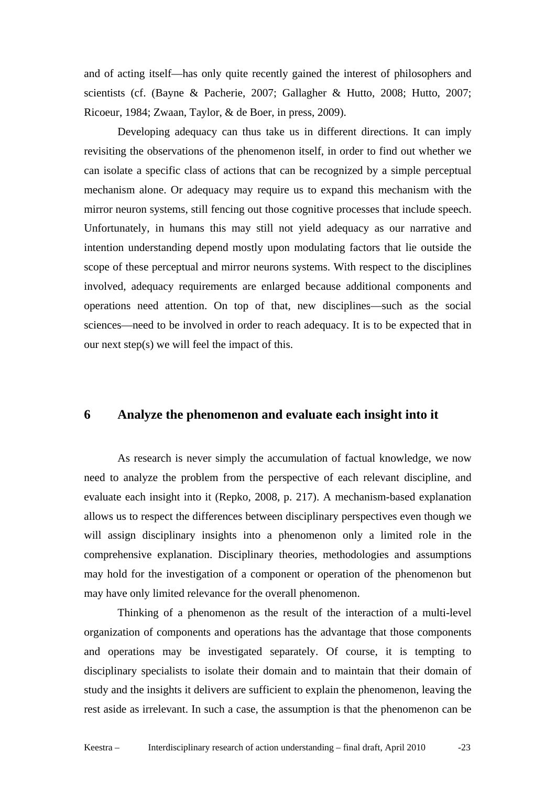and of acting itself—has only quite recently gained the interest of philosophers and scientists (cf. (Bayne & Pacherie, 2007; Gallagher & Hutto, 2008; Hutto, 2007; Ricoeur, 1984; Zwaan, Taylor, & de Boer, in press, 2009).

 Developing adequacy can thus take us in different directions. It can imply revisiting the observations of the phenomenon itself, in order to find out whether we can isolate a specific class of actions that can be recognized by a simple perceptual mechanism alone. Or adequacy may require us to expand this mechanism with the mirror neuron systems, still fencing out those cognitive processes that include speech. Unfortunately, in humans this may still not yield adequacy as our narrative and intention understanding depend mostly upon modulating factors that lie outside the scope of these perceptual and mirror neurons systems. With respect to the disciplines involved, adequacy requirements are enlarged because additional components and operations need attention. On top of that, new disciplines—such as the social sciences—need to be involved in order to reach adequacy. It is to be expected that in our next step(s) we will feel the impact of this.

### **6 Analyze the phenomenon and evaluate each insight into it**

 As research is never simply the accumulation of factual knowledge, we now need to analyze the problem from the perspective of each relevant discipline, and evaluate each insight into it (Repko, 2008, p. 217). A mechanism-based explanation allows us to respect the differences between disciplinary perspectives even though we will assign disciplinary insights into a phenomenon only a limited role in the comprehensive explanation. Disciplinary theories, methodologies and assumptions may hold for the investigation of a component or operation of the phenomenon but may have only limited relevance for the overall phenomenon.

 Thinking of a phenomenon as the result of the interaction of a multi-level organization of components and operations has the advantage that those components and operations may be investigated separately. Of course, it is tempting to disciplinary specialists to isolate their domain and to maintain that their domain of study and the insights it delivers are sufficient to explain the phenomenon, leaving the rest aside as irrelevant. In such a case, the assumption is that the phenomenon can be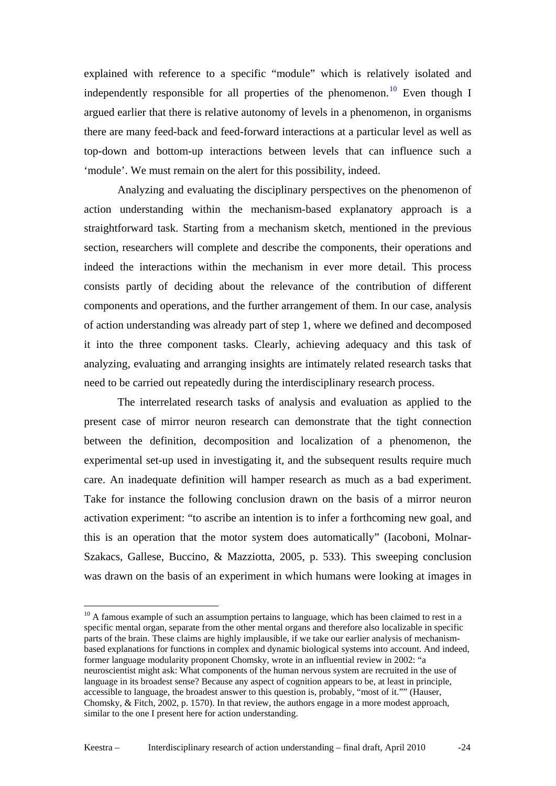explained with reference to a specific "module" which is relatively isolated and independently responsible for all properties of the phenomenon.<sup>[10](#page-23-0)</sup> Even though I argued earlier that there is relative autonomy of levels in a phenomenon, in organisms there are many feed-back and feed-forward interactions at a particular level as well as top-down and bottom-up interactions between levels that can influence such a 'module'. We must remain on the alert for this possibility, indeed.

 Analyzing and evaluating the disciplinary perspectives on the phenomenon of action understanding within the mechanism-based explanatory approach is a straightforward task. Starting from a mechanism sketch, mentioned in the previous section, researchers will complete and describe the components, their operations and indeed the interactions within the mechanism in ever more detail. This process consists partly of deciding about the relevance of the contribution of different components and operations, and the further arrangement of them. In our case, analysis of action understanding was already part of step 1, where we defined and decomposed it into the three component tasks. Clearly, achieving adequacy and this task of analyzing, evaluating and arranging insights are intimately related research tasks that need to be carried out repeatedly during the interdisciplinary research process.

 The interrelated research tasks of analysis and evaluation as applied to the present case of mirror neuron research can demonstrate that the tight connection between the definition, decomposition and localization of a phenomenon, the experimental set-up used in investigating it, and the subsequent results require much care. An inadequate definition will hamper research as much as a bad experiment. Take for instance the following conclusion drawn on the basis of a mirror neuron activation experiment: "to ascribe an intention is to infer a forthcoming new goal, and this is an operation that the motor system does automatically" (Iacoboni, Molnar-Szakacs, Gallese, Buccino, & Mazziotta, 2005, p. 533). This sweeping conclusion was drawn on the basis of an experiment in which humans were looking at images in

<u>.</u>

<span id="page-23-0"></span> $10$  A famous example of such an assumption pertains to language, which has been claimed to rest in a specific mental organ, separate from the other mental organs and therefore also localizable in specific parts of the brain. These claims are highly implausible, if we take our earlier analysis of mechanismbased explanations for functions in complex and dynamic biological systems into account. And indeed, former language modularity proponent Chomsky, wrote in an influential review in 2002: "a neuroscientist might ask: What components of the human nervous system are recruited in the use of language in its broadest sense? Because any aspect of cognition appears to be, at least in principle, accessible to language, the broadest answer to this question is, probably, "most of it."" (Hauser, Chomsky, & Fitch, 2002, p. 1570). In that review, the authors engage in a more modest approach, similar to the one I present here for action understanding.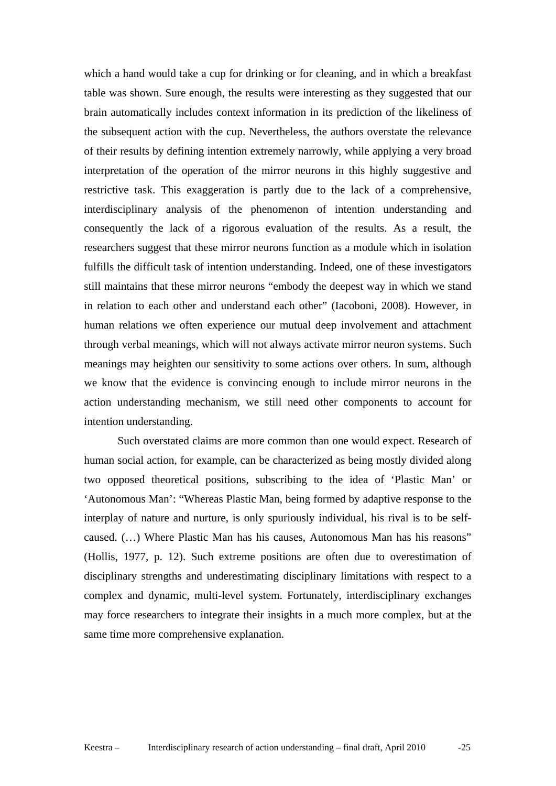which a hand would take a cup for drinking or for cleaning, and in which a breakfast table was shown. Sure enough, the results were interesting as they suggested that our brain automatically includes context information in its prediction of the likeliness of the subsequent action with the cup. Nevertheless, the authors overstate the relevance of their results by defining intention extremely narrowly, while applying a very broad interpretation of the operation of the mirror neurons in this highly suggestive and restrictive task. This exaggeration is partly due to the lack of a comprehensive, interdisciplinary analysis of the phenomenon of intention understanding and consequently the lack of a rigorous evaluation of the results. As a result, the researchers suggest that these mirror neurons function as a module which in isolation fulfills the difficult task of intention understanding. Indeed, one of these investigators still maintains that these mirror neurons "embody the deepest way in which we stand in relation to each other and understand each other" (Iacoboni, 2008). However, in human relations we often experience our mutual deep involvement and attachment through verbal meanings, which will not always activate mirror neuron systems. Such meanings may heighten our sensitivity to some actions over others. In sum, although we know that the evidence is convincing enough to include mirror neurons in the action understanding mechanism, we still need other components to account for intention understanding.

 Such overstated claims are more common than one would expect. Research of human social action, for example, can be characterized as being mostly divided along two opposed theoretical positions, subscribing to the idea of 'Plastic Man' or 'Autonomous Man': "Whereas Plastic Man, being formed by adaptive response to the interplay of nature and nurture, is only spuriously individual, his rival is to be selfcaused. (…) Where Plastic Man has his causes, Autonomous Man has his reasons" (Hollis, 1977, p. 12). Such extreme positions are often due to overestimation of disciplinary strengths and underestimating disciplinary limitations with respect to a complex and dynamic, multi-level system. Fortunately, interdisciplinary exchanges may force researchers to integrate their insights in a much more complex, but at the same time more comprehensive explanation.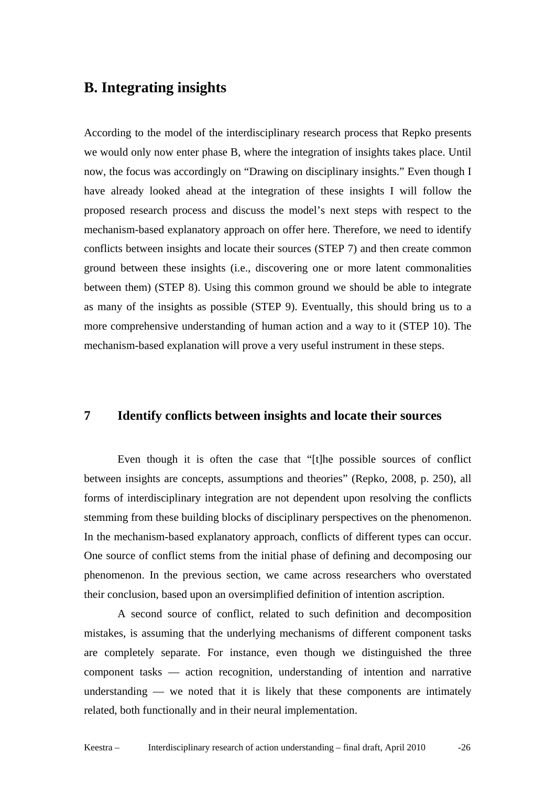### **B. Integrating insights**

According to the model of the interdisciplinary research process that Repko presents we would only now enter phase B, where the integration of insights takes place. Until now, the focus was accordingly on "Drawing on disciplinary insights." Even though I have already looked ahead at the integration of these insights I will follow the proposed research process and discuss the model's next steps with respect to the mechanism-based explanatory approach on offer here. Therefore, we need to identify conflicts between insights and locate their sources (STEP 7) and then create common ground between these insights (i.e., discovering one or more latent commonalities between them) (STEP 8). Using this common ground we should be able to integrate as many of the insights as possible (STEP 9). Eventually, this should bring us to a more comprehensive understanding of human action and a way to it (STEP 10). The mechanism-based explanation will prove a very useful instrument in these steps.

### **7 Identify conflicts between insights and locate their sources**

 Even though it is often the case that "[t]he possible sources of conflict between insights are concepts, assumptions and theories" (Repko, 2008, p. 250), all forms of interdisciplinary integration are not dependent upon resolving the conflicts stemming from these building blocks of disciplinary perspectives on the phenomenon. In the mechanism-based explanatory approach, conflicts of different types can occur. One source of conflict stems from the initial phase of defining and decomposing our phenomenon. In the previous section, we came across researchers who overstated their conclusion, based upon an oversimplified definition of intention ascription.

 A second source of conflict, related to such definition and decomposition mistakes, is assuming that the underlying mechanisms of different component tasks are completely separate. For instance, even though we distinguished the three component tasks — action recognition, understanding of intention and narrative understanding — we noted that it is likely that these components are intimately related, both functionally and in their neural implementation.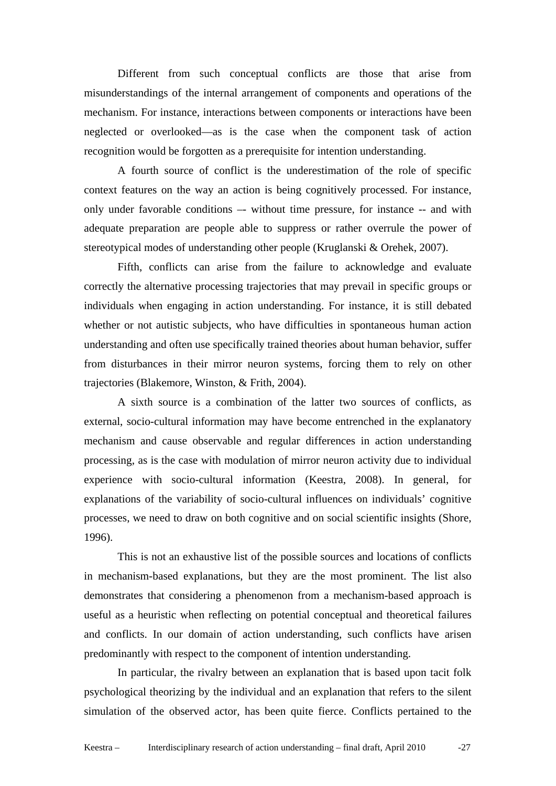Different from such conceptual conflicts are those that arise from misunderstandings of the internal arrangement of components and operations of the mechanism. For instance, interactions between components or interactions have been neglected or overlooked—as is the case when the component task of action recognition would be forgotten as a prerequisite for intention understanding.

 A fourth source of conflict is the underestimation of the role of specific context features on the way an action is being cognitively processed. For instance, only under favorable conditions –- without time pressure, for instance -- and with adequate preparation are people able to suppress or rather overrule the power of stereotypical modes of understanding other people (Kruglanski & Orehek, 2007).

 Fifth, conflicts can arise from the failure to acknowledge and evaluate correctly the alternative processing trajectories that may prevail in specific groups or individuals when engaging in action understanding. For instance, it is still debated whether or not autistic subjects, who have difficulties in spontaneous human action understanding and often use specifically trained theories about human behavior, suffer from disturbances in their mirror neuron systems, forcing them to rely on other trajectories (Blakemore, Winston, & Frith, 2004).

 A sixth source is a combination of the latter two sources of conflicts, as external, socio-cultural information may have become entrenched in the explanatory mechanism and cause observable and regular differences in action understanding processing, as is the case with modulation of mirror neuron activity due to individual experience with socio-cultural information (Keestra, 2008). In general, for explanations of the variability of socio-cultural influences on individuals' cognitive processes, we need to draw on both cognitive and on social scientific insights (Shore, 1996).

 This is not an exhaustive list of the possible sources and locations of conflicts in mechanism-based explanations, but they are the most prominent. The list also demonstrates that considering a phenomenon from a mechanism-based approach is useful as a heuristic when reflecting on potential conceptual and theoretical failures and conflicts. In our domain of action understanding, such conflicts have arisen predominantly with respect to the component of intention understanding.

 In particular, the rivalry between an explanation that is based upon tacit folk psychological theorizing by the individual and an explanation that refers to the silent simulation of the observed actor, has been quite fierce. Conflicts pertained to the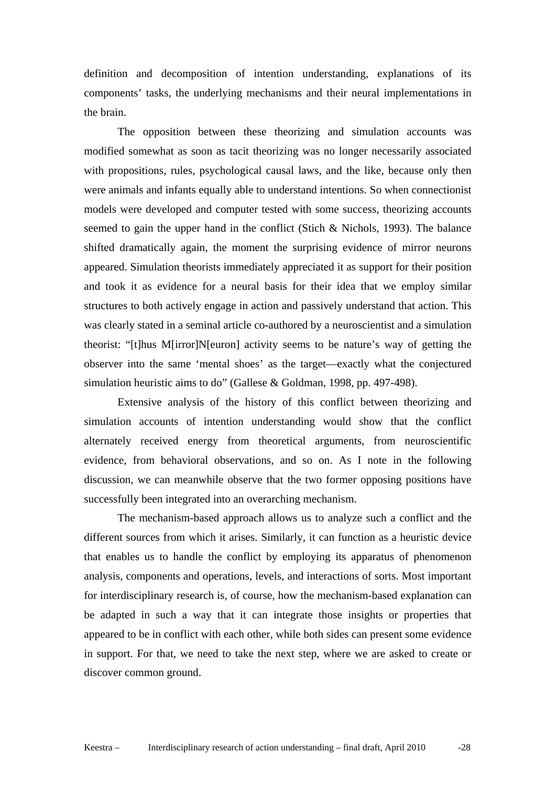definition and decomposition of intention understanding, explanations of its components' tasks, the underlying mechanisms and their neural implementations in the brain.

The opposition between these theorizing and simulation accounts was modified somewhat as soon as tacit theorizing was no longer necessarily associated with propositions, rules, psychological causal laws, and the like, because only then were animals and infants equally able to understand intentions. So when connectionist models were developed and computer tested with some success, theorizing accounts seemed to gain the upper hand in the conflict (Stich & Nichols, 1993). The balance shifted dramatically again, the moment the surprising evidence of mirror neurons appeared. Simulation theorists immediately appreciated it as support for their position and took it as evidence for a neural basis for their idea that we employ similar structures to both actively engage in action and passively understand that action. This was clearly stated in a seminal article co-authored by a neuroscientist and a simulation theorist: "[t]hus M[irror]N[euron] activity seems to be nature's way of getting the observer into the same 'mental shoes' as the target—exactly what the conjectured simulation heuristic aims to do" (Gallese & Goldman, 1998, pp. 497-498).

 Extensive analysis of the history of this conflict between theorizing and simulation accounts of intention understanding would show that the conflict alternately received energy from theoretical arguments, from neuroscientific evidence, from behavioral observations, and so on. As I note in the following discussion, we can meanwhile observe that the two former opposing positions have successfully been integrated into an overarching mechanism.

 The mechanism-based approach allows us to analyze such a conflict and the different sources from which it arises. Similarly, it can function as a heuristic device that enables us to handle the conflict by employing its apparatus of phenomenon analysis, components and operations, levels, and interactions of sorts. Most important for interdisciplinary research is, of course, how the mechanism-based explanation can be adapted in such a way that it can integrate those insights or properties that appeared to be in conflict with each other, while both sides can present some evidence in support. For that, we need to take the next step, where we are asked to create or discover common ground.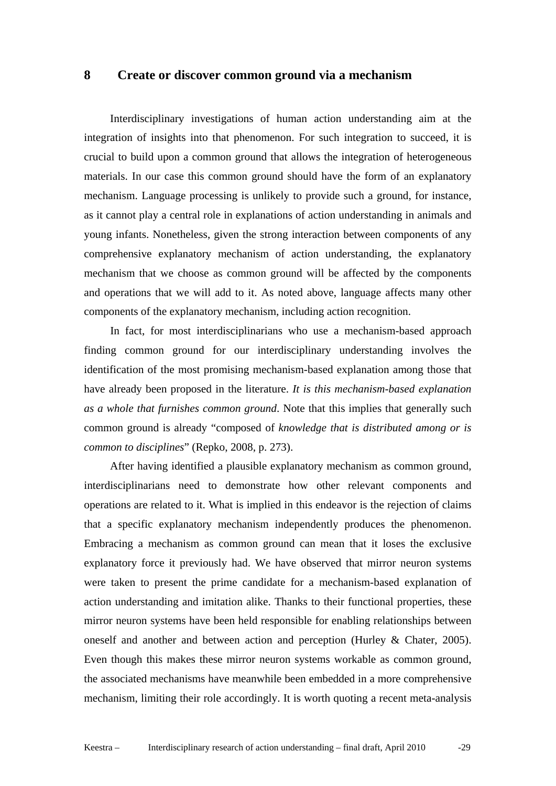#### **8 Create or discover common ground via a mechanism**

 Interdisciplinary investigations of human action understanding aim at the integration of insights into that phenomenon. For such integration to succeed, it is crucial to build upon a common ground that allows the integration of heterogeneous materials. In our case this common ground should have the form of an explanatory mechanism. Language processing is unlikely to provide such a ground, for instance, as it cannot play a central role in explanations of action understanding in animals and young infants. Nonetheless, given the strong interaction between components of any comprehensive explanatory mechanism of action understanding, the explanatory mechanism that we choose as common ground will be affected by the components and operations that we will add to it. As noted above, language affects many other components of the explanatory mechanism, including action recognition.

 In fact, for most interdisciplinarians who use a mechanism-based approach finding common ground for our interdisciplinary understanding involves the identification of the most promising mechanism-based explanation among those that have already been proposed in the literature. *It is this mechanism-based explanation as a whole that furnishes common ground*. Note that this implies that generally such common ground is already "composed of *knowledge that is distributed among or is common to disciplines*" (Repko, 2008, p. 273).

 After having identified a plausible explanatory mechanism as common ground, interdisciplinarians need to demonstrate how other relevant components and operations are related to it. What is implied in this endeavor is the rejection of claims that a specific explanatory mechanism independently produces the phenomenon. Embracing a mechanism as common ground can mean that it loses the exclusive explanatory force it previously had. We have observed that mirror neuron systems were taken to present the prime candidate for a mechanism-based explanation of action understanding and imitation alike. Thanks to their functional properties, these mirror neuron systems have been held responsible for enabling relationships between oneself and another and between action and perception (Hurley & Chater, 2005). Even though this makes these mirror neuron systems workable as common ground, the associated mechanisms have meanwhile been embedded in a more comprehensive mechanism, limiting their role accordingly. It is worth quoting a recent meta-analysis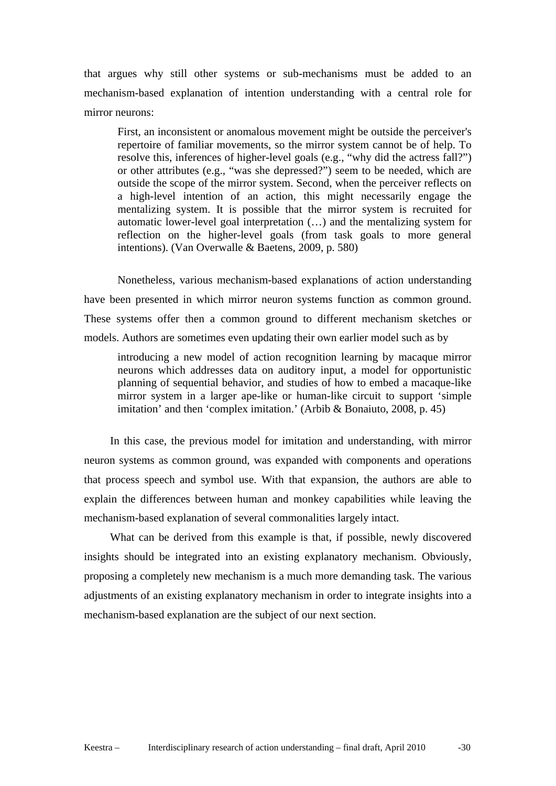that argues why still other systems or sub-mechanisms must be added to an mechanism-based explanation of intention understanding with a central role for mirror neurons:

First, an inconsistent or anomalous movement might be outside the perceiver's repertoire of familiar movements, so the mirror system cannot be of help. To resolve this, inferences of higher-level goals (e.g., "why did the actress fall?") or other attributes (e.g., "was she depressed?") seem to be needed, which are outside the scope of the mirror system. Second, when the perceiver reflects on a high-level intention of an action, this might necessarily engage the mentalizing system. It is possible that the mirror system is recruited for automatic lower-level goal interpretation (…) and the mentalizing system for reflection on the higher-level goals (from task goals to more general intentions). (Van Overwalle & Baetens, 2009, p. 580)

 Nonetheless, various mechanism-based explanations of action understanding have been presented in which mirror neuron systems function as common ground. These systems offer then a common ground to different mechanism sketches or models. Authors are sometimes even updating their own earlier model such as by

introducing a new model of action recognition learning by macaque mirror neurons which addresses data on auditory input, a model for opportunistic planning of sequential behavior, and studies of how to embed a macaque-like mirror system in a larger ape-like or human-like circuit to support 'simple imitation' and then 'complex imitation.' (Arbib & Bonaiuto, 2008, p. 45)

 In this case, the previous model for imitation and understanding, with mirror neuron systems as common ground, was expanded with components and operations that process speech and symbol use. With that expansion, the authors are able to explain the differences between human and monkey capabilities while leaving the mechanism-based explanation of several commonalities largely intact.

 What can be derived from this example is that, if possible, newly discovered insights should be integrated into an existing explanatory mechanism. Obviously, proposing a completely new mechanism is a much more demanding task. The various adjustments of an existing explanatory mechanism in order to integrate insights into a mechanism-based explanation are the subject of our next section.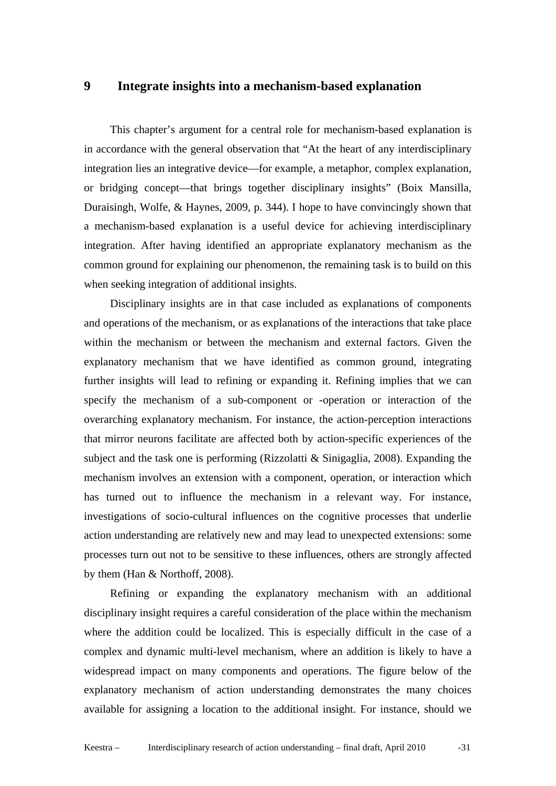#### **9 Integrate insights into a mechanism-based explanation**

 This chapter's argument for a central role for mechanism-based explanation is in accordance with the general observation that "At the heart of any interdisciplinary integration lies an integrative device—for example, a metaphor, complex explanation, or bridging concept—that brings together disciplinary insights" (Boix Mansilla, Duraisingh, Wolfe, & Haynes, 2009, p. 344). I hope to have convincingly shown that a mechanism-based explanation is a useful device for achieving interdisciplinary integration. After having identified an appropriate explanatory mechanism as the common ground for explaining our phenomenon, the remaining task is to build on this when seeking integration of additional insights.

 Disciplinary insights are in that case included as explanations of components and operations of the mechanism, or as explanations of the interactions that take place within the mechanism or between the mechanism and external factors. Given the explanatory mechanism that we have identified as common ground, integrating further insights will lead to refining or expanding it. Refining implies that we can specify the mechanism of a sub-component or -operation or interaction of the overarching explanatory mechanism. For instance, the action-perception interactions that mirror neurons facilitate are affected both by action-specific experiences of the subject and the task one is performing (Rizzolatti  $\&$  Sinigaglia, 2008). Expanding the mechanism involves an extension with a component, operation, or interaction which has turned out to influence the mechanism in a relevant way. For instance, investigations of socio-cultural influences on the cognitive processes that underlie action understanding are relatively new and may lead to unexpected extensions: some processes turn out not to be sensitive to these influences, others are strongly affected by them (Han & Northoff, 2008).

 Refining or expanding the explanatory mechanism with an additional disciplinary insight requires a careful consideration of the place within the mechanism where the addition could be localized. This is especially difficult in the case of a complex and dynamic multi-level mechanism, where an addition is likely to have a widespread impact on many components and operations. The figure below of the explanatory mechanism of action understanding demonstrates the many choices available for assigning a location to the additional insight. For instance, should we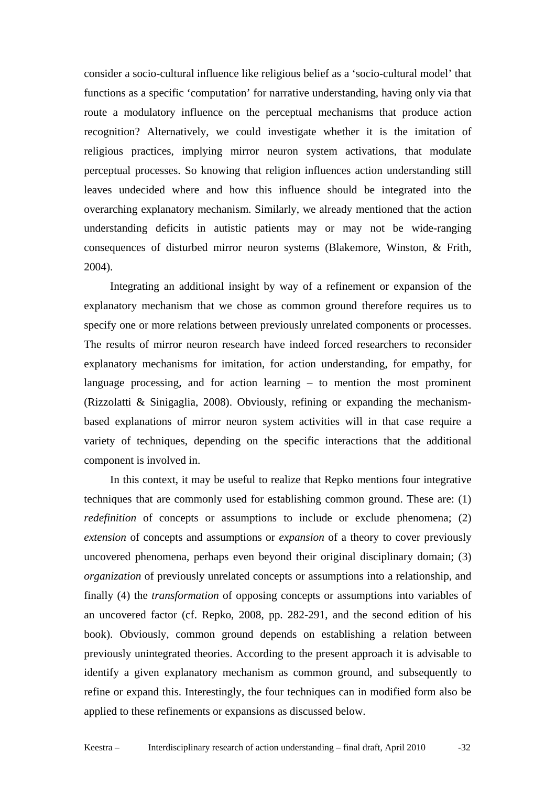consider a socio-cultural influence like religious belief as a 'socio-cultural model' that functions as a specific 'computation' for narrative understanding, having only via that route a modulatory influence on the perceptual mechanisms that produce action recognition? Alternatively, we could investigate whether it is the imitation of religious practices, implying mirror neuron system activations, that modulate perceptual processes. So knowing that religion influences action understanding still leaves undecided where and how this influence should be integrated into the overarching explanatory mechanism. Similarly, we already mentioned that the action understanding deficits in autistic patients may or may not be wide-ranging consequences of disturbed mirror neuron systems (Blakemore, Winston, & Frith, 2004).

 Integrating an additional insight by way of a refinement or expansion of the explanatory mechanism that we chose as common ground therefore requires us to specify one or more relations between previously unrelated components or processes. The results of mirror neuron research have indeed forced researchers to reconsider explanatory mechanisms for imitation, for action understanding, for empathy, for language processing, and for action learning – to mention the most prominent (Rizzolatti & Sinigaglia, 2008). Obviously, refining or expanding the mechanismbased explanations of mirror neuron system activities will in that case require a variety of techniques, depending on the specific interactions that the additional component is involved in.

 In this context, it may be useful to realize that Repko mentions four integrative techniques that are commonly used for establishing common ground. These are: (1) *redefinition* of concepts or assumptions to include or exclude phenomena; (2) *extension* of concepts and assumptions or *expansion* of a theory to cover previously uncovered phenomena, perhaps even beyond their original disciplinary domain; (3) *organization* of previously unrelated concepts or assumptions into a relationship, and finally (4) the *transformation* of opposing concepts or assumptions into variables of an uncovered factor (cf. Repko, 2008, pp. 282-291, and the second edition of his book). Obviously, common ground depends on establishing a relation between previously unintegrated theories. According to the present approach it is advisable to identify a given explanatory mechanism as common ground, and subsequently to refine or expand this. Interestingly, the four techniques can in modified form also be applied to these refinements or expansions as discussed below.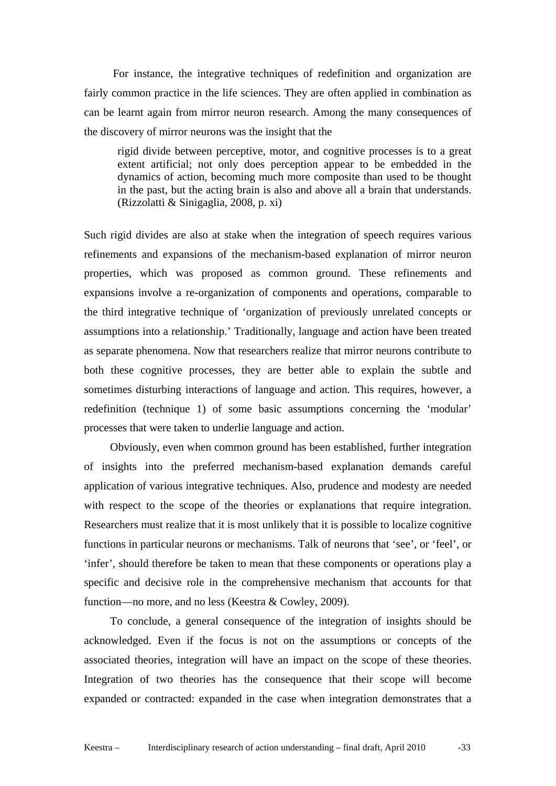For instance, the integrative techniques of redefinition and organization are fairly common practice in the life sciences. They are often applied in combination as can be learnt again from mirror neuron research. Among the many consequences of the discovery of mirror neurons was the insight that the

rigid divide between perceptive, motor, and cognitive processes is to a great extent artificial; not only does perception appear to be embedded in the dynamics of action, becoming much more composite than used to be thought in the past, but the acting brain is also and above all a brain that understands. (Rizzolatti & Sinigaglia, 2008, p. xi)

Such rigid divides are also at stake when the integration of speech requires various refinements and expansions of the mechanism-based explanation of mirror neuron properties, which was proposed as common ground. These refinements and expansions involve a re-organization of components and operations, comparable to the third integrative technique of 'organization of previously unrelated concepts or assumptions into a relationship.' Traditionally, language and action have been treated as separate phenomena. Now that researchers realize that mirror neurons contribute to both these cognitive processes, they are better able to explain the subtle and sometimes disturbing interactions of language and action. This requires, however, a redefinition (technique 1) of some basic assumptions concerning the 'modular' processes that were taken to underlie language and action.

 Obviously, even when common ground has been established, further integration of insights into the preferred mechanism-based explanation demands careful application of various integrative techniques. Also, prudence and modesty are needed with respect to the scope of the theories or explanations that require integration. Researchers must realize that it is most unlikely that it is possible to localize cognitive functions in particular neurons or mechanisms. Talk of neurons that 'see', or 'feel', or 'infer', should therefore be taken to mean that these components or operations play a specific and decisive role in the comprehensive mechanism that accounts for that function—no more, and no less (Keestra & Cowley, 2009).

 To conclude, a general consequence of the integration of insights should be acknowledged. Even if the focus is not on the assumptions or concepts of the associated theories, integration will have an impact on the scope of these theories. Integration of two theories has the consequence that their scope will become expanded or contracted: expanded in the case when integration demonstrates that a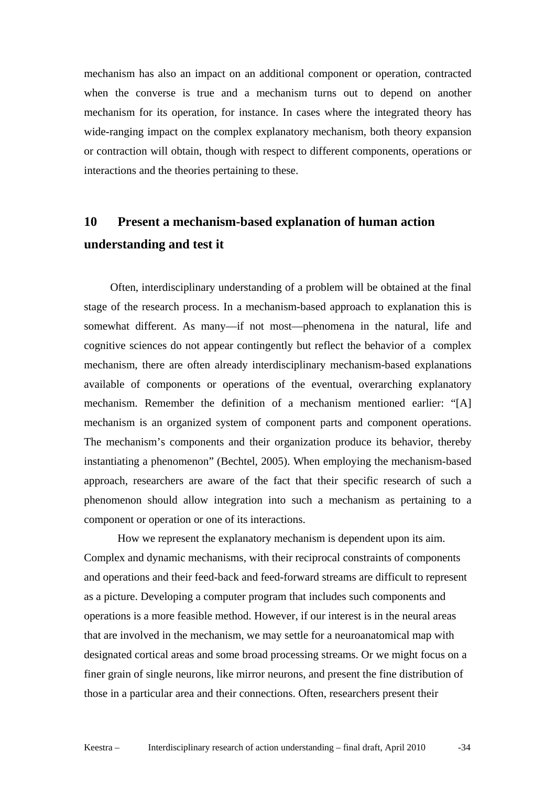mechanism has also an impact on an additional component or operation, contracted when the converse is true and a mechanism turns out to depend on another mechanism for its operation, for instance. In cases where the integrated theory has wide-ranging impact on the complex explanatory mechanism, both theory expansion or contraction will obtain, though with respect to different components, operations or interactions and the theories pertaining to these.

### **10 Present a mechanism-based explanation of human action understanding and test it**

 Often, interdisciplinary understanding of a problem will be obtained at the final stage of the research process. In a mechanism-based approach to explanation this is somewhat different. As many—if not most—phenomena in the natural, life and cognitive sciences do not appear contingently but reflect the behavior of a complex mechanism, there are often already interdisciplinary mechanism-based explanations available of components or operations of the eventual, overarching explanatory mechanism. Remember the definition of a mechanism mentioned earlier: "[A] mechanism is an organized system of component parts and component operations. The mechanism's components and their organization produce its behavior, thereby instantiating a phenomenon" (Bechtel, 2005). When employing the mechanism-based approach, researchers are aware of the fact that their specific research of such a phenomenon should allow integration into such a mechanism as pertaining to a component or operation or one of its interactions.

 How we represent the explanatory mechanism is dependent upon its aim. Complex and dynamic mechanisms, with their reciprocal constraints of components and operations and their feed-back and feed-forward streams are difficult to represent as a picture. Developing a computer program that includes such components and operations is a more feasible method. However, if our interest is in the neural areas that are involved in the mechanism, we may settle for a neuroanatomical map with designated cortical areas and some broad processing streams. Or we might focus on a finer grain of single neurons, like mirror neurons, and present the fine distribution of those in a particular area and their connections. Often, researchers present their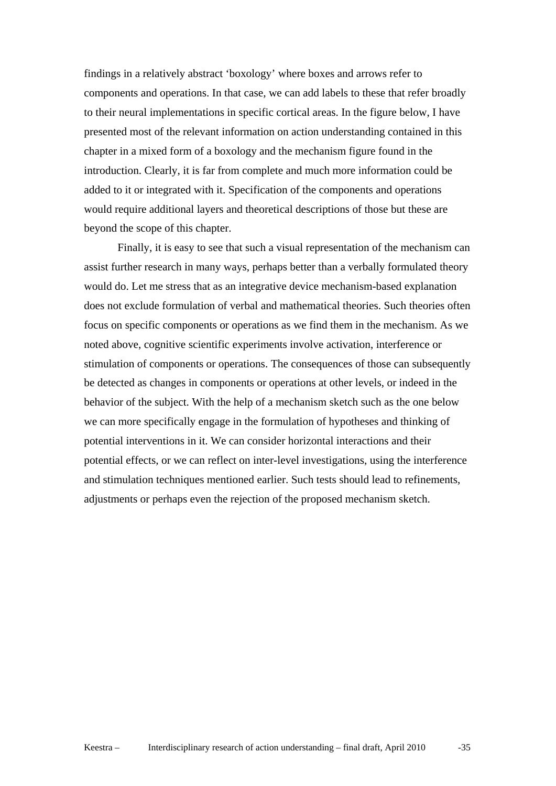findings in a relatively abstract 'boxology' where boxes and arrows refer to components and operations. In that case, we can add labels to these that refer broadly to their neural implementations in specific cortical areas. In the figure below, I have presented most of the relevant information on action understanding contained in this chapter in a mixed form of a boxology and the mechanism figure found in the introduction. Clearly, it is far from complete and much more information could be added to it or integrated with it. Specification of the components and operations would require additional layers and theoretical descriptions of those but these are beyond the scope of this chapter.

 Finally, it is easy to see that such a visual representation of the mechanism can assist further research in many ways, perhaps better than a verbally formulated theory would do. Let me stress that as an integrative device mechanism-based explanation does not exclude formulation of verbal and mathematical theories. Such theories often focus on specific components or operations as we find them in the mechanism. As we noted above, cognitive scientific experiments involve activation, interference or stimulation of components or operations. The consequences of those can subsequently be detected as changes in components or operations at other levels, or indeed in the behavior of the subject. With the help of a mechanism sketch such as the one below we can more specifically engage in the formulation of hypotheses and thinking of potential interventions in it. We can consider horizontal interactions and their potential effects, or we can reflect on inter-level investigations, using the interference and stimulation techniques mentioned earlier. Such tests should lead to refinements, adjustments or perhaps even the rejection of the proposed mechanism sketch.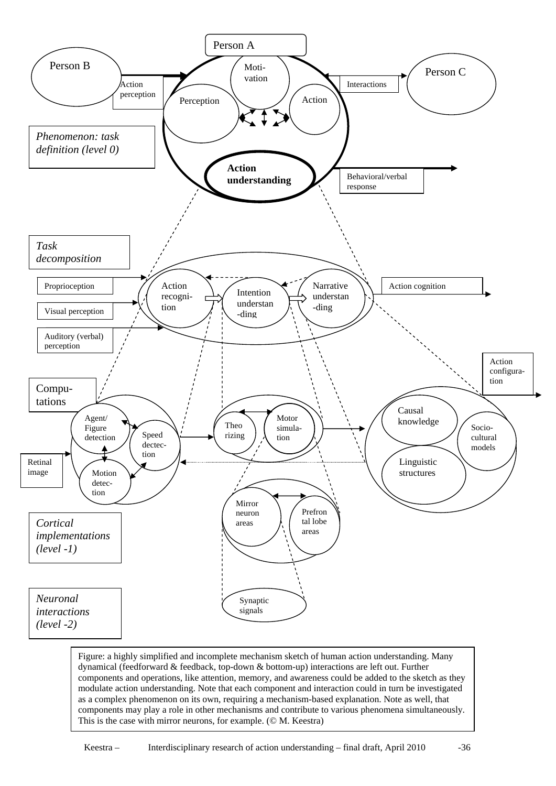

Figure: a highly simplified and incomplete mechanism sketch of human action understanding. Many dynamical (feedforward & feedback, top-down & bottom-up) interactions are left out. Further components and operations, like attention, memory, and awareness could be added to the sketch as they modulate action understanding. Note that each component and interaction could in turn be investigated as a complex phenomenon on its own, requiring a mechanism-based explanation. Note as well, that components may play a role in other mechanisms and contribute to various phenomena simultaneously. This is the case with mirror neurons, for example. (© M. Keestra)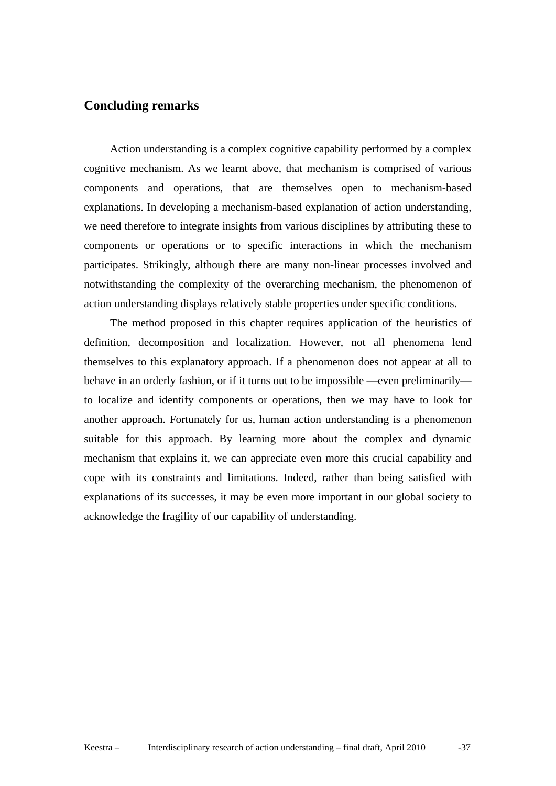### **Concluding remarks**

 Action understanding is a complex cognitive capability performed by a complex cognitive mechanism. As we learnt above, that mechanism is comprised of various components and operations, that are themselves open to mechanism-based explanations. In developing a mechanism-based explanation of action understanding, we need therefore to integrate insights from various disciplines by attributing these to components or operations or to specific interactions in which the mechanism participates. Strikingly, although there are many non-linear processes involved and notwithstanding the complexity of the overarching mechanism, the phenomenon of action understanding displays relatively stable properties under specific conditions.

 The method proposed in this chapter requires application of the heuristics of definition, decomposition and localization. However, not all phenomena lend themselves to this explanatory approach. If a phenomenon does not appear at all to behave in an orderly fashion, or if it turns out to be impossible —even preliminarily to localize and identify components or operations, then we may have to look for another approach. Fortunately for us, human action understanding is a phenomenon suitable for this approach. By learning more about the complex and dynamic mechanism that explains it, we can appreciate even more this crucial capability and cope with its constraints and limitations. Indeed, rather than being satisfied with explanations of its successes, it may be even more important in our global society to acknowledge the fragility of our capability of understanding.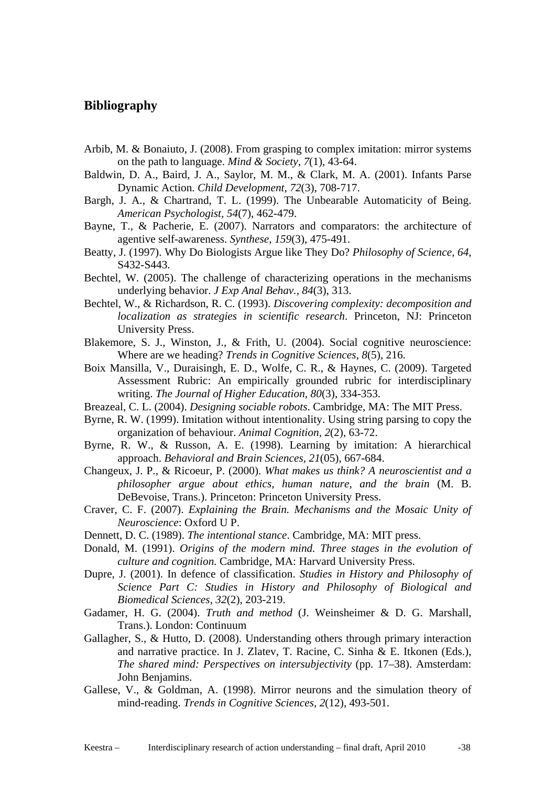#### **Bibliography**

- Arbib, M. & Bonaiuto, J. (2008). From grasping to complex imitation: mirror systems on the path to language. *Mind & Society, 7*(1), 43-64.
- Baldwin, D. A., Baird, J. A., Saylor, M. M., & Clark, M. A. (2001). Infants Parse Dynamic Action. *Child Development, 72*(3), 708-717.
- Bargh, J. A., & Chartrand, T. L. (1999). The Unbearable Automaticity of Being. *American Psychologist, 54*(7), 462-479.
- Bayne, T., & Pacherie, E. (2007). Narrators and comparators: the architecture of agentive self-awareness. *Synthese, 159*(3), 475-491.
- Beatty, J. (1997). Why Do Biologists Argue like They Do? *Philosophy of Science, 64*, S432-S443.
- Bechtel, W. (2005). The challenge of characterizing operations in the mechanisms underlying behavior. *J Exp Anal Behav., 84*(3), 313.
- Bechtel, W., & Richardson, R. C. (1993). *Discovering complexity: decomposition and localization as strategies in scientific research*. Princeton, NJ: Princeton University Press.
- Blakemore, S. J., Winston, J., & Frith, U. (2004). Social cognitive neuroscience: Where are we heading? *Trends in Cognitive Sciences, 8*(5), 216.
- Boix Mansilla, V., Duraisingh, E. D., Wolfe, C. R., & Haynes, C. (2009). Targeted Assessment Rubric: An empirically grounded rubric for interdisciplinary writing. *The Journal of Higher Education, 80*(3), 334-353.
- Breazeal, C. L. (2004). *Designing sociable robots*. Cambridge, MA: The MIT Press.
- Byrne, R. W. (1999). Imitation without intentionality. Using string parsing to copy the organization of behaviour. *Animal Cognition, 2*(2), 63-72.
- Byrne, R. W., & Russon, A. E. (1998). Learning by imitation: A hierarchical approach. *Behavioral and Brain Sciences, 21*(05), 667-684.
- Changeux, J. P., & Ricoeur, P. (2000). *What makes us think? A neuroscientist and a philosopher argue about ethics, human nature, and the brain* (M. B. DeBevoise, Trans.). Princeton: Princeton University Press.
- Craver, C. F. (2007). *Explaining the Brain. Mechanisms and the Mosaic Unity of Neuroscience*: Oxford U P.
- Dennett, D. C. (1989). *The intentional stance*. Cambridge, MA: MIT press.
- Donald, M. (1991). *Origins of the modern mind. Three stages in the evolution of culture and cognition.* Cambridge, MA: Harvard University Press.
- Dupre, J. (2001). In defence of classification. *Studies in History and Philosophy of Science Part C: Studies in History and Philosophy of Biological and Biomedical Sciences, 32*(2), 203-219.
- Gadamer, H. G. (2004). *Truth and method* (J. Weinsheimer & D. G. Marshall, Trans.). London: Continuum
- Gallagher, S., & Hutto, D. (2008). Understanding others through primary interaction and narrative practice. In J. Zlatev, T. Racine, C. Sinha & E. Itkonen (Eds.), *The shared mind: Perspectives on intersubjectivity* (pp. 17–38). Amsterdam: John Benjamins.
- Gallese, V., & Goldman, A. (1998). Mirror neurons and the simulation theory of mind-reading. *Trends in Cognitive Sciences, 2*(12), 493-501.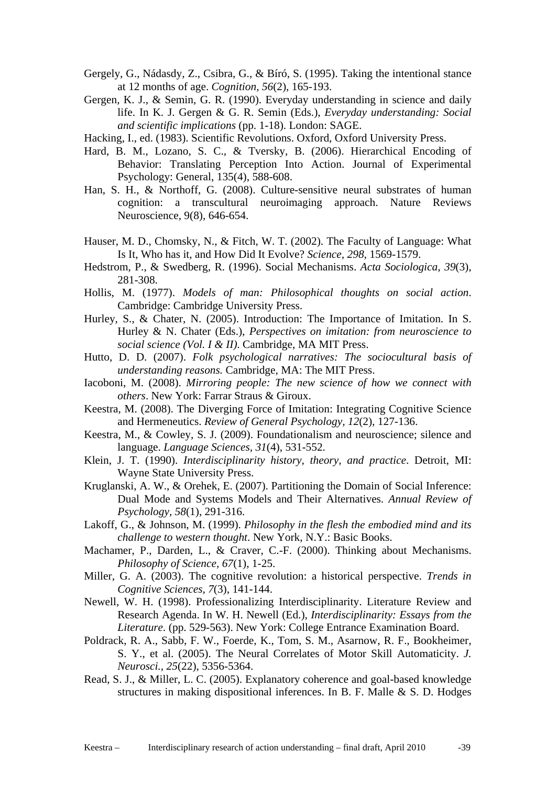- Gergely, G., Nádasdy, Z., Csibra, G., & Bíró, S. (1995). Taking the intentional stance at 12 months of age. *Cognition, 56*(2), 165-193.
- Gergen, K. J., & Semin, G. R. (1990). Everyday understanding in science and daily life. In K. J. Gergen & G. R. Semin (Eds.), *Everyday understanding: Social and scientific implications* (pp. 1-18). London: SAGE.
- Hacking, I., ed. (1983). Scientific Revolutions. Oxford, Oxford University Press.
- Hard, B. M., Lozano, S. C., & Tversky, B. (2006). Hierarchical Encoding of Behavior: Translating Perception Into Action. Journal of Experimental Psychology: General, 135(4), 588-608.
- Han, S. H., & Northoff, G. (2008). Culture-sensitive neural substrates of human cognition: a transcultural neuroimaging approach. Nature Reviews Neuroscience, 9(8), 646-654.
- Hauser, M. D., Chomsky, N., & Fitch, W. T. (2002). The Faculty of Language: What Is It, Who has it, and How Did It Evolve? *Science, 298*, 1569-1579.
- Hedstrom, P., & Swedberg, R. (1996). Social Mechanisms. *Acta Sociologica, 39*(3), 281-308.
- Hollis, M. (1977). *Models of man: Philosophical thoughts on social action*. Cambridge: Cambridge University Press.
- Hurley, S., & Chater, N. (2005). Introduction: The Importance of Imitation. In S. Hurley & N. Chater (Eds.), *Perspectives on imitation: from neuroscience to social science (Vol. I & II)*. Cambridge, MA MIT Press.
- Hutto, D. D. (2007). *Folk psychological narratives: The sociocultural basis of understanding reasons.* Cambridge, MA: The MIT Press.
- Iacoboni, M. (2008). *Mirroring people: The new science of how we connect with others*. New York: Farrar Straus & Giroux.
- Keestra, M. (2008). The Diverging Force of Imitation: Integrating Cognitive Science and Hermeneutics. *Review of General Psychology, 12*(2), 127-136.
- Keestra, M., & Cowley, S. J. (2009). Foundationalism and neuroscience; silence and language. *Language Sciences, 31*(4), 531-552.
- Klein, J. T. (1990). *Interdisciplinarity history, theory, and practice*. Detroit, MI: Wayne State University Press.
- Kruglanski, A. W., & Orehek, E. (2007). Partitioning the Domain of Social Inference: Dual Mode and Systems Models and Their Alternatives. *Annual Review of Psychology, 58*(1), 291-316.
- Lakoff, G., & Johnson, M. (1999). *Philosophy in the flesh the embodied mind and its challenge to western thought*. New York, N.Y.: Basic Books.
- Machamer, P., Darden, L., & Craver, C.-F. (2000). Thinking about Mechanisms. *Philosophy of Science, 67*(1), 1-25.
- Miller, G. A. (2003). The cognitive revolution: a historical perspective. *Trends in Cognitive Sciences, 7*(3), 141-144.
- Newell, W. H. (1998). Professionalizing Interdisciplinarity. Literature Review and Research Agenda. In W. H. Newell (Ed.), *Interdisciplinarity: Essays from the Literature.* (pp. 529-563). New York: College Entrance Examination Board.
- Poldrack, R. A., Sabb, F. W., Foerde, K., Tom, S. M., Asarnow, R. F., Bookheimer, S. Y., et al. (2005). The Neural Correlates of Motor Skill Automaticity. *J. Neurosci., 25*(22), 5356-5364.
- Read, S. J., & Miller, L. C. (2005). Explanatory coherence and goal-based knowledge structures in making dispositional inferences. In B. F. Malle & S. D. Hodges